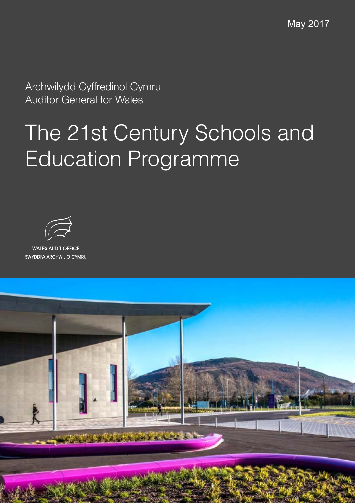May 2017

Archwilydd Cyffredinol Cymru Auditor General for Wales

# The 21st Century Schools and Education Programme



WALES AUDIT OFFICE<br>SWYDDFA ARCHWILIO CYMRU

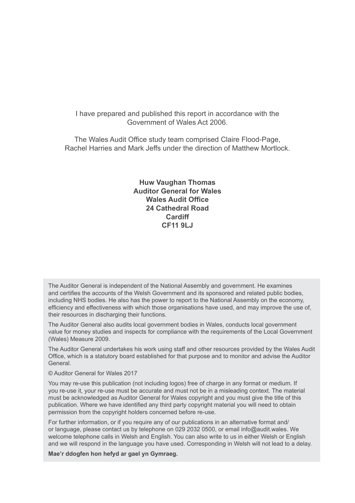I have prepared and published this report in accordance with the Government of Wales Act 2006.

The Wales Audit Office study team comprised Claire Flood-Page, Rachel Harries and Mark Jeffs under the direction of Matthew Mortlock.

> **Huw Vaughan Thomas Auditor General for Wales Wales Audit Office 24 Cathedral Road Cardiff CF11 9LJ**

The Auditor General is independent of the National Assembly and government. He examines and certifies the accounts of the Welsh Government and its sponsored and related public bodies, including NHS bodies. He also has the power to report to the National Assembly on the economy, efficiency and effectiveness with which those organisations have used, and may improve the use of, their resources in discharging their functions.

The Auditor General also audits local government bodies in Wales, conducts local government value for money studies and inspects for compliance with the requirements of the Local Government (Wales) Measure 2009.

The Auditor General undertakes his work using staff and other resources provided by the Wales Audit Office, which is a statutory board established for that purpose and to monitor and advise the Auditor General.

© Auditor General for Wales 2017

You may re-use this publication (not including logos) free of charge in any format or medium. If you re-use it, your re-use must be accurate and must not be in a misleading context. The material must be acknowledged as Auditor General for Wales copyright and you must give the title of this publication. Where we have identified any third party copyright material you will need to obtain permission from the copyright holders concerned before re-use.

For further information, or if you require any of our publications in an alternative format and/ or language, please contact us by telephone on 029 2032 0500, or email info@audit.wales. We welcome telephone calls in Welsh and English. You can also write to us in either Welsh or English and we will respond in the language you have used. Corresponding in Welsh will not lead to a delay.

**Mae'r ddogfen hon hefyd ar gael yn Gymraeg.**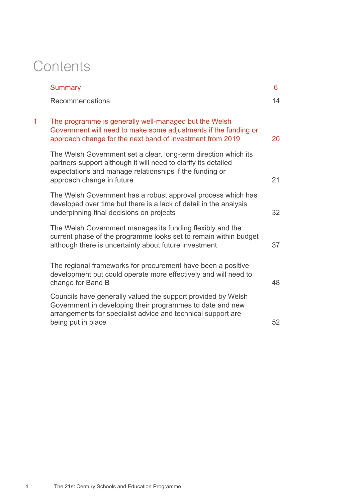# **Contents**

|   | <b>Summary</b>                                                                                                                                                                                                            | 6  |
|---|---------------------------------------------------------------------------------------------------------------------------------------------------------------------------------------------------------------------------|----|
|   | Recommendations                                                                                                                                                                                                           | 14 |
| 1 | The programme is generally well-managed but the Welsh<br>Government will need to make some adjustments if the funding or<br>approach change for the next band of investment from 2019                                     | 20 |
|   | The Welsh Government set a clear, long-term direction which its<br>partners support although it will need to clarify its detailed<br>expectations and manage relationships if the funding or<br>approach change in future | 21 |
|   | The Welsh Government has a robust approval process which has<br>developed over time but there is a lack of detail in the analysis<br>underpinning final decisions on projects                                             | 32 |
|   | The Welsh Government manages its funding flexibly and the<br>current phase of the programme looks set to remain within budget<br>although there is uncertainty about future investment                                    | 37 |
|   | The regional frameworks for procurement have been a positive<br>development but could operate more effectively and will need to<br>change for Band B                                                                      | 48 |
|   | Councils have generally valued the support provided by Welsh<br>Government in developing their programmes to date and new<br>arrangements for specialist advice and technical support are<br>being put in place           | 52 |
|   |                                                                                                                                                                                                                           |    |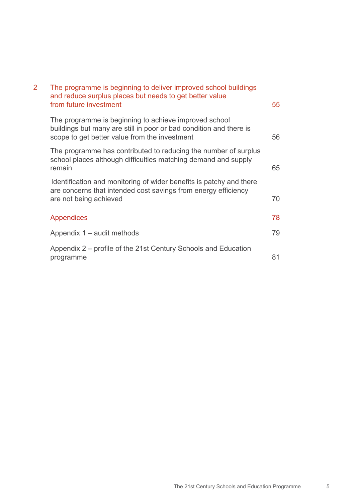| $\overline{2}$ | The programme is beginning to deliver improved school buildings<br>and reduce surplus places but needs to get better value<br>from future investment                         | 55 |
|----------------|------------------------------------------------------------------------------------------------------------------------------------------------------------------------------|----|
|                | The programme is beginning to achieve improved school<br>buildings but many are still in poor or bad condition and there is<br>scope to get better value from the investment | 56 |
|                | The programme has contributed to reducing the number of surplus<br>school places although difficulties matching demand and supply<br>remain                                  | 65 |
|                | Identification and monitoring of wider benefits is patchy and there<br>are concerns that intended cost savings from energy efficiency<br>are not being achieved              | 70 |
|                | Appendices                                                                                                                                                                   | 78 |
|                | Appendix 1 – audit methods                                                                                                                                                   | 79 |
|                | Appendix 2 – profile of the 21st Century Schools and Education<br>programme                                                                                                  | 81 |
|                |                                                                                                                                                                              |    |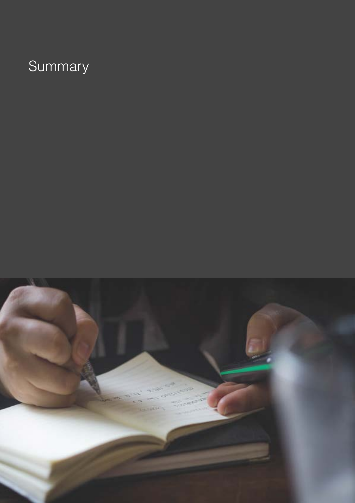# Summary

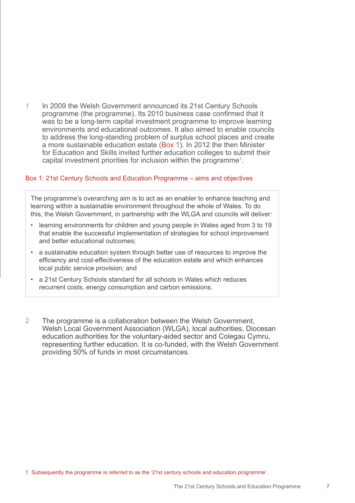1 In 2009 the Welsh Government announced its 21st Century Schools programme (the programme). Its 2010 business case confirmed that it was to be a long-term capital investment programme to improve learning environments and educational outcomes. It also aimed to enable councils to address the long-standing problem of surplus school places and create a more sustainable education estate (Box 1). In 2012 the then Minister for Education and Skills invited further education colleges to submit their capital investment priorities for inclusion within the programme1 .

### Box 1: 21st Century Schools and Education Programme – aims and objectives

The programme's overarching aim is to act as an enabler to enhance teaching and learning within a sustainable environment throughout the whole of Wales. To do this, the Welsh Government, in partnership with the WLGA and councils will deliver:

- learning environments for children and young people in Wales aged from 3 to 19 that enable the successful implementation of strategies for school improvement and better educational outcomes;
- a sustainable education system through better use of resources to improve the efficiency and cost-effectiveness of the education estate and which enhances local public service provision; and
- a 21st Century Schools standard for all schools in Wales which reduces recurrent costs, energy consumption and carbon emissions.
- 2 The programme is a collaboration between the Welsh Government, Welsh Local Government Association (WLGA), local authorities, Diocesan education authorities for the voluntary-aided sector and Colegau Cymru, representing further education. It is co-funded, with the Welsh Government providing 50% of funds in most circumstances.

1 Subsequently the programme is referred to as the '21st century schools and education programme'.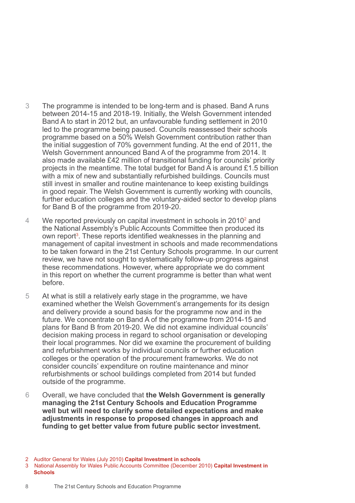- 3 The programme is intended to be long-term and is phased. Band A runs between 2014-15 and 2018-19. Initially, the Welsh Government intended Band A to start in 2012 but, an unfavourable funding settlement in 2010 led to the programme being paused. Councils reassessed their schools programme based on a 50% Welsh Government contribution rather than the initial suggestion of 70% government funding. At the end of 2011, the Welsh Government announced Band A of the programme from 2014. It also made available £42 million of transitional funding for councils' priority projects in the meantime. The total budget for Band A is around £1.5 billion with a mix of new and substantially refurbished buildings. Councils must still invest in smaller and routine maintenance to keep existing buildings in good repair. The Welsh Government is currently working with councils, further education colleges and the voluntary-aided sector to develop plans for Band B of the programme from 2019-20.
- 4 We reported previously on capital investment in schools in 2010<sup>2</sup> and the National Assembly's Public Accounts Committee then produced its own report<sup>3</sup>. These reports identified weaknesses in the planning and management of capital investment in schools and made recommendations to be taken forward in the 21st Century Schools programme. In our current review, we have not sought to systematically follow-up progress against these recommendations. However, where appropriate we do comment in this report on whether the current programme is better than what went before.
- 5 At what is still a relatively early stage in the programme, we have examined whether the Welsh Government's arrangements for its design and delivery provide a sound basis for the programme now and in the future. We concentrate on Band A of the programme from 2014-15 and plans for Band B from 2019-20. We did not examine individual councils' decision making process in regard to school organisation or developing their local programmes. Nor did we examine the procurement of building and refurbishment works by individual councils or further education colleges or the operation of the procurement frameworks. We do not consider councils' expenditure on routine maintenance and minor refurbishments or school buildings completed from 2014 but funded outside of the programme.
- 6 Overall, we have concluded that **the Welsh Government is generally managing the 21st Century Schools and Education Programme well but will need to clarify some detailed expectations and make adjustments in response to proposed changes in approach and funding to get better value from future public sector investment.**

<sup>2</sup> Auditor General for Wales (July 2010) **Capital Investment in schools**

<sup>3</sup> National Assembly for Wales Public Accounts Committee (December 2010) **Capital Investment in Schools**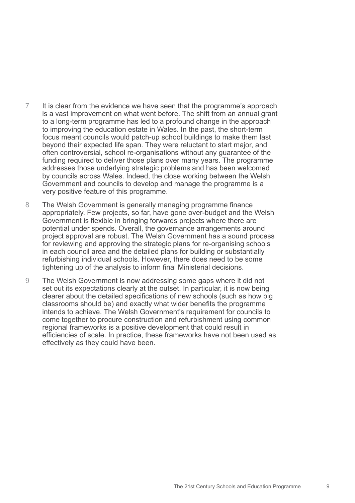- 7 It is clear from the evidence we have seen that the programme's approach is a vast improvement on what went before. The shift from an annual grant to a long-term programme has led to a profound change in the approach to improving the education estate in Wales. In the past, the short-term focus meant councils would patch-up school buildings to make them last beyond their expected life span. They were reluctant to start major, and often controversial, school re-organisations without any guarantee of the funding required to deliver those plans over many years. The programme addresses those underlying strategic problems and has been welcomed by councils across Wales. Indeed, the close working between the Welsh Government and councils to develop and manage the programme is a very positive feature of this programme.
- 8 The Welsh Government is generally managing programme finance appropriately. Few projects, so far, have gone over-budget and the Welsh Government is flexible in bringing forwards projects where there are potential under spends. Overall, the governance arrangements around project approval are robust. The Welsh Government has a sound process for reviewing and approving the strategic plans for re-organising schools in each council area and the detailed plans for building or substantially refurbishing individual schools. However, there does need to be some tightening up of the analysis to inform final Ministerial decisions.
- 9 The Welsh Government is now addressing some gaps where it did not set out its expectations clearly at the outset. In particular, it is now being clearer about the detailed specifications of new schools (such as how big classrooms should be) and exactly what wider benefits the programme intends to achieve. The Welsh Government's requirement for councils to come together to procure construction and refurbishment using common regional frameworks is a positive development that could result in efficiencies of scale. In practice, these frameworks have not been used as effectively as they could have been.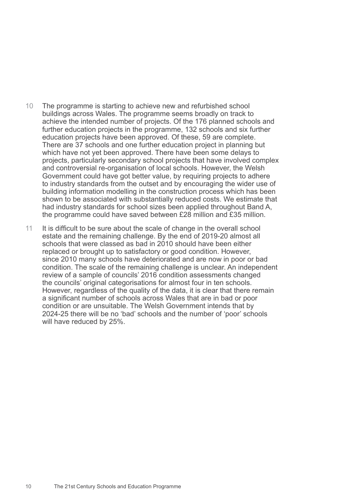- 10 The programme is starting to achieve new and refurbished school buildings across Wales. The programme seems broadly on track to achieve the intended number of projects. Of the 176 planned schools and further education projects in the programme, 132 schools and six further education projects have been approved. Of these, 59 are complete. There are 37 schools and one further education project in planning but which have not yet been approved. There have been some delays to projects, particularly secondary school projects that have involved complex and controversial re-organisation of local schools. However, the Welsh Government could have got better value, by requiring projects to adhere to industry standards from the outset and by encouraging the wider use of building information modelling in the construction process which has been shown to be associated with substantially reduced costs. We estimate that had industry standards for school sizes been applied throughout Band A, the programme could have saved between £28 million and £35 million.
- 11 It is difficult to be sure about the scale of change in the overall school estate and the remaining challenge. By the end of 2019-20 almost all schools that were classed as bad in 2010 should have been either replaced or brought up to satisfactory or good condition. However, since 2010 many schools have deteriorated and are now in poor or bad condition. The scale of the remaining challenge is unclear. An independent review of a sample of councils' 2016 condition assessments changed the councils' original categorisations for almost four in ten schools. However, regardless of the quality of the data, it is clear that there remain a significant number of schools across Wales that are in bad or poor condition or are unsuitable. The Welsh Government intends that by 2024-25 there will be no 'bad' schools and the number of 'poor' schools will have reduced by 25%.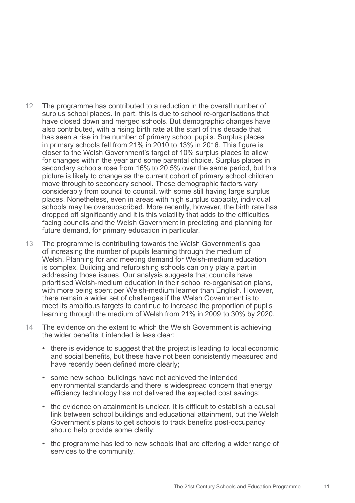- 12 The programme has contributed to a reduction in the overall number of surplus school places. In part, this is due to school re-organisations that have closed down and merged schools. But demographic changes have also contributed, with a rising birth rate at the start of this decade that has seen a rise in the number of primary school pupils. Surplus places in primary schools fell from 21% in 2010 to 13% in 2016. This figure is closer to the Welsh Government's target of 10% surplus places to allow for changes within the year and some parental choice. Surplus places in secondary schools rose from 16% to 20.5% over the same period, but this picture is likely to change as the current cohort of primary school children move through to secondary school. These demographic factors vary considerably from council to council, with some still having large surplus places. Nonetheless, even in areas with high surplus capacity, individual schools may be oversubscribed. More recently, however, the birth rate has dropped off significantly and it is this volatility that adds to the difficulties facing councils and the Welsh Government in predicting and planning for future demand, for primary education in particular.
- 13 The programme is contributing towards the Welsh Government's goal of increasing the number of pupils learning through the medium of Welsh. Planning for and meeting demand for Welsh-medium education is complex. Building and refurbishing schools can only play a part in addressing those issues. Our analysis suggests that councils have prioritised Welsh-medium education in their school re-organisation plans, with more being spent per Welsh-medium learner than English. However, there remain a wider set of challenges if the Welsh Government is to meet its ambitious targets to continue to increase the proportion of pupils learning through the medium of Welsh from 21% in 2009 to 30% by 2020.
- 14 The evidence on the extent to which the Welsh Government is achieving the wider benefits it intended is less clear:
	- there is evidence to suggest that the project is leading to local economic and social benefits, but these have not been consistently measured and have recently been defined more clearly;
	- some new school buildings have not achieved the intended environmental standards and there is widespread concern that energy efficiency technology has not delivered the expected cost savings;
	- the evidence on attainment is unclear. It is difficult to establish a causal link between school buildings and educational attainment, but the Welsh Government's plans to get schools to track benefits post-occupancy should help provide some clarity;
	- the programme has led to new schools that are offering a wider range of services to the community.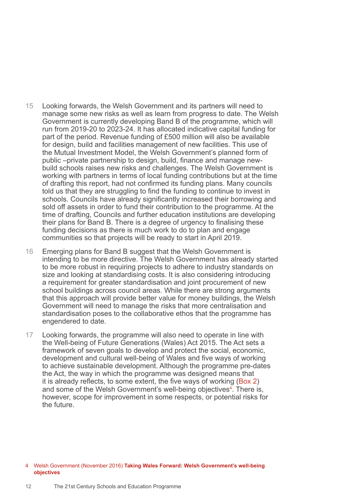- 15 Looking forwards, the Welsh Government and its partners will need to manage some new risks as well as learn from progress to date. The Welsh Government is currently developing Band B of the programme, which will run from 2019-20 to 2023-24. It has allocated indicative capital funding for part of the period. Revenue funding of £500 million will also be available for design, build and facilities management of new facilities. This use of the Mutual Investment Model, the Welsh Government's planned form of public –private partnership to design, build, finance and manage newbuild schools raises new risks and challenges. The Welsh Government is working with partners in terms of local funding contributions but at the time of drafting this report, had not confirmed its funding plans. Many councils told us that they are struggling to find the funding to continue to invest in schools. Councils have already significantly increased their borrowing and sold off assets in order to fund their contribution to the programme. At the time of drafting, Councils and further education institutions are developing their plans for Band B. There is a degree of urgency to finalising these funding decisions as there is much work to do to plan and engage communities so that projects will be ready to start in April 2019.
- 16 Emerging plans for Band B suggest that the Welsh Government is intending to be more directive. The Welsh Government has already started to be more robust in requiring projects to adhere to industry standards on size and looking at standardising costs. It is also considering introducing a requirement for greater standardisation and joint procurement of new school buildings across council areas. While there are strong arguments that this approach will provide better value for money buildings, the Welsh Government will need to manage the risks that more centralisation and standardisation poses to the collaborative ethos that the programme has engendered to date.
- 17 Looking forwards, the programme will also need to operate in line with the Well-being of Future Generations (Wales) Act 2015. The Act sets a framework of seven goals to develop and protect the social, economic, development and cultural well-being of Wales and five ways of working to achieve sustainable development. Although the programme pre-dates the Act, the way in which the programme was designed means that it is already reflects, to some extent, the five ways of working (Box 2) and some of the Welsh Government's well-being objectives<sup>4</sup>. There is, however, scope for improvement in some respects, or potential risks for the future.

#### 4 Welsh Government (November 2016) **Taking Wales Forward: Welsh Government's well-being objectives**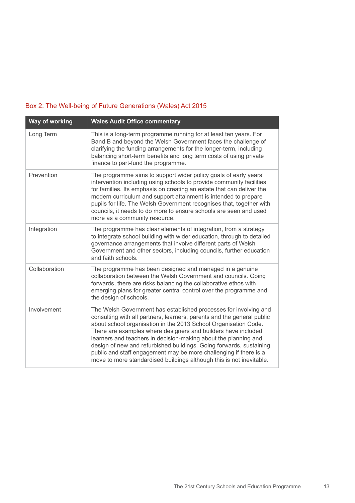# Box 2: The Well-being of Future Generations (Wales) Act 2015

| Way of working | <b>Wales Audit Office commentary</b>                                                                                                                                                                                                                                                                                                                                                                                                                                                                                                                                  |  |  |  |
|----------------|-----------------------------------------------------------------------------------------------------------------------------------------------------------------------------------------------------------------------------------------------------------------------------------------------------------------------------------------------------------------------------------------------------------------------------------------------------------------------------------------------------------------------------------------------------------------------|--|--|--|
| Long Term      | This is a long-term programme running for at least ten years. For<br>Band B and beyond the Welsh Government faces the challenge of<br>clarifying the funding arrangements for the longer-term, including<br>balancing short-term benefits and long term costs of using private<br>finance to part-fund the programme.                                                                                                                                                                                                                                                 |  |  |  |
| Prevention     | The programme aims to support wider policy goals of early years'<br>intervention including using schools to provide community facilities<br>for families. Its emphasis on creating an estate that can deliver the<br>modern curriculum and support attainment is intended to prepare<br>pupils for life. The Welsh Government recognises that, together with<br>councils, it needs to do more to ensure schools are seen and used<br>more as a community resource.                                                                                                    |  |  |  |
| Integration    | The programme has clear elements of integration, from a strategy<br>to integrate school building with wider education, through to detailed<br>governance arrangements that involve different parts of Welsh<br>Government and other sectors, including councils, further education<br>and faith schools.                                                                                                                                                                                                                                                              |  |  |  |
| Collaboration  | The programme has been designed and managed in a genuine<br>collaboration between the Welsh Government and councils. Going<br>forwards, there are risks balancing the collaborative ethos with<br>emerging plans for greater central control over the programme and<br>the design of schools.                                                                                                                                                                                                                                                                         |  |  |  |
| Involvement    | The Welsh Government has established processes for involving and<br>consulting with all partners, learners, parents and the general public<br>about school organisation in the 2013 School Organisation Code.<br>There are examples where designers and builders have included<br>learners and teachers in decision-making about the planning and<br>design of new and refurbished buildings. Going forwards, sustaining<br>public and staff engagement may be more challenging if there is a<br>move to more standardised buildings although this is not inevitable. |  |  |  |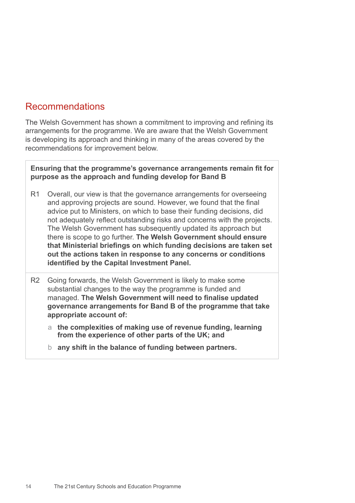# Recommendations

The Welsh Government has shown a commitment to improving and refining its arrangements for the programme. We are aware that the Welsh Government is developing its approach and thinking in many of the areas covered by the recommendations for improvement below.

**Ensuring that the programme's governance arrangements remain fit for purpose as the approach and funding develop for Band B**

- R1 Overall, our view is that the governance arrangements for overseeing and approving projects are sound. However, we found that the final advice put to Ministers, on which to base their funding decisions, did not adequately reflect outstanding risks and concerns with the projects. The Welsh Government has subsequently updated its approach but there is scope to go further. **The Welsh Government should ensure that Ministerial briefings on which funding decisions are taken set out the actions taken in response to any concerns or conditions identified by the Capital Investment Panel.**
- R2 Going forwards, the Welsh Government is likely to make some substantial changes to the way the programme is funded and managed. **The Welsh Government will need to finalise updated governance arrangements for Band B of the programme that take appropriate account of:**
	- a **the complexities of making use of revenue funding, learning from the experience of other parts of the UK; and**
	- b **any shift in the balance of funding between partners.**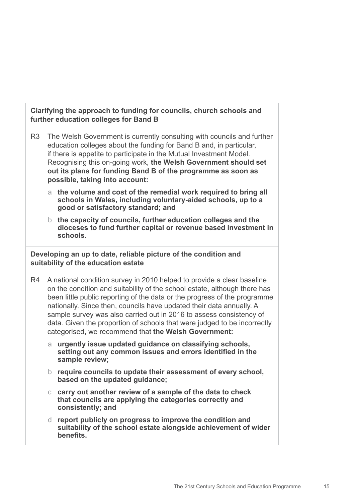### **Clarifying the approach to funding for councils, church schools and further education colleges for Band B**

- R3 The Welsh Government is currently consulting with councils and further education colleges about the funding for Band B and, in particular, if there is appetite to participate in the Mutual Investment Model. Recognising this on-going work, **the Welsh Government should set out its plans for funding Band B of the programme as soon as possible, taking into account:** 
	- a **the volume and cost of the remedial work required to bring all schools in Wales, including voluntary-aided schools, up to a good or satisfactory standard; and**
	- b **the capacity of councils, further education colleges and the dioceses to fund further capital or revenue based investment in schools.**

**Developing an up to date, reliable picture of the condition and suitability of the education estate**

- R4 A national condition survey in 2010 helped to provide a clear baseline on the condition and suitability of the school estate, although there has been little public reporting of the data or the progress of the programme nationally. Since then, councils have updated their data annually. A sample survey was also carried out in 2016 to assess consistency of data. Given the proportion of schools that were judged to be incorrectly categorised, we recommend that **the Welsh Government:** 
	- a **urgently issue updated guidance on classifying schools, setting out any common issues and errors identified in the sample review;**
	- b **require councils to update their assessment of every school, based on the updated guidance;**
	- c **carry out another review of a sample of the data to check that councils are applying the categories correctly and consistently; and**
	- d **report publicly on progress to improve the condition and suitability of the school estate alongside achievement of wider benefits.**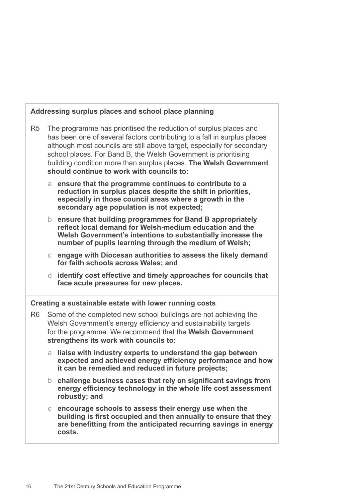|                |                                                                                                                                                                                                                                                                                                                                                                                                               | Addressing surplus places and school place planning                                                                                                                                                                                          |  |  |  |
|----------------|---------------------------------------------------------------------------------------------------------------------------------------------------------------------------------------------------------------------------------------------------------------------------------------------------------------------------------------------------------------------------------------------------------------|----------------------------------------------------------------------------------------------------------------------------------------------------------------------------------------------------------------------------------------------|--|--|--|
| R <sub>5</sub> | The programme has prioritised the reduction of surplus places and<br>has been one of several factors contributing to a fall in surplus places<br>although most councils are still above target, especially for secondary<br>school places. For Band B, the Welsh Government is prioritising<br>building condition more than surplus places. The Welsh Government<br>should continue to work with councils to: |                                                                                                                                                                                                                                              |  |  |  |
|                | a                                                                                                                                                                                                                                                                                                                                                                                                             | ensure that the programme continues to contribute to a<br>reduction in surplus places despite the shift in priorities,<br>especially in those council areas where a growth in the<br>secondary age population is not expected;               |  |  |  |
|                | b.                                                                                                                                                                                                                                                                                                                                                                                                            | ensure that building programmes for Band B appropriately<br>reflect local demand for Welsh-medium education and the<br>Welsh Government's intentions to substantially increase the<br>number of pupils learning through the medium of Welsh; |  |  |  |
|                | $\mathsf{C}$                                                                                                                                                                                                                                                                                                                                                                                                  | engage with Diocesan authorities to assess the likely demand<br>for faith schools across Wales; and                                                                                                                                          |  |  |  |
|                | d                                                                                                                                                                                                                                                                                                                                                                                                             | identify cost effective and timely approaches for councils that<br>face acute pressures for new places.                                                                                                                                      |  |  |  |
|                |                                                                                                                                                                                                                                                                                                                                                                                                               | Creating a sustainable estate with lower running costs                                                                                                                                                                                       |  |  |  |
| R <sub>6</sub> | Some of the completed new school buildings are not achieving the<br>Welsh Government's energy efficiency and sustainability targets<br>for the programme. We recommend that the Welsh Government<br>strengthens its work with councils to:                                                                                                                                                                    |                                                                                                                                                                                                                                              |  |  |  |
|                | a                                                                                                                                                                                                                                                                                                                                                                                                             | liaise with industry experts to understand the gap between<br>expected and achieved energy efficiency performance and how<br>it can be remedied and reduced in future projects;                                                              |  |  |  |
|                | b.                                                                                                                                                                                                                                                                                                                                                                                                            | challenge business cases that rely on significant savings from<br>energy efficiency technology in the whole life cost assessment<br>robustly; and                                                                                            |  |  |  |
|                | C.                                                                                                                                                                                                                                                                                                                                                                                                            | encourage schools to assess their energy use when the<br>building is first occupied and then annually to ensure that they<br>are benefitting from the anticipated recurring savings in energy<br>costs.                                      |  |  |  |
|                |                                                                                                                                                                                                                                                                                                                                                                                                               |                                                                                                                                                                                                                                              |  |  |  |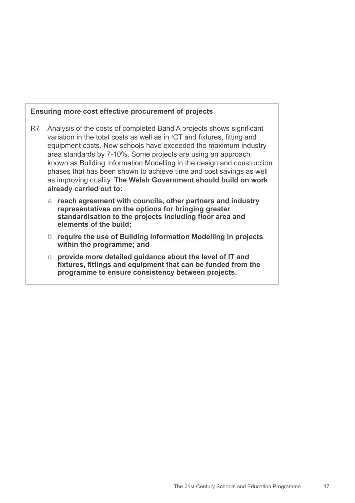### **Ensuring more cost effective procurement of projects**

- R7 Analysis of the costs of completed Band A projects shows significant variation in the total costs as well as in ICT and fixtures, fitting and equipment costs. New schools have exceeded the maximum industry area standards by 7-10%. Some projects are using an approach known as Building Information Modelling in the design and construction phases that has been shown to achieve time and cost savings as well as improving quality. **The Welsh Government should build on work already carried out to:** 
	- a **reach agreement with councils, other partners and industry representatives on the options for bringing greater standardisation to the projects including floor area and elements of the build;**
	- b **require the use of Building Information Modelling in projects within the programme; and**
	- c **provide more detailed guidance about the level of IT and fixtures, fittings and equipment that can be funded from the programme to ensure consistency between projects.**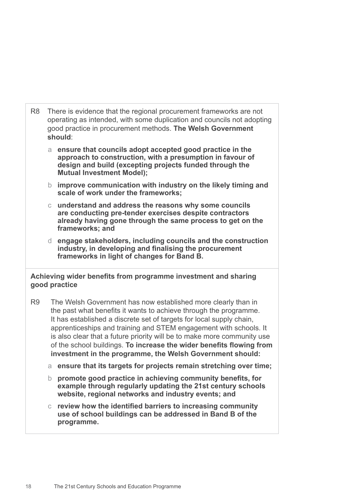- R8 There is evidence that the regional procurement frameworks are not operating as intended, with some duplication and councils not adopting good practice in procurement methods. **The Welsh Government should**:
	- a **ensure that councils adopt accepted good practice in the approach to construction, with a presumption in favour of design and build (excepting projects funded through the Mutual Investment Model);**
	- b **improve communication with industry on the likely timing and scale of work under the frameworks;**
	- c **understand and address the reasons why some councils are conducting pre-tender exercises despite contractors already having gone through the same process to get on the frameworks; and**
	- d **engage stakeholders, including councils and the construction industry, in developing and finalising the procurement frameworks in light of changes for Band B.**

### **Achieving wider benefits from programme investment and sharing good practice**

- R9 The Welsh Government has now established more clearly than in the past what benefits it wants to achieve through the programme. It has established a discrete set of targets for local supply chain. apprenticeships and training and STEM engagement with schools. It is also clear that a future priority will be to make more community use of the school buildings. **To increase the wider benefits flowing from investment in the programme, the Welsh Government should:** 
	- a **ensure that its targets for projects remain stretching over time;**
	- b **promote good practice in achieving community benefits, for example through regularly updating the 21st century schools website, regional networks and industry events; and**
	- c **review how the identified barriers to increasing community use of school buildings can be addressed in Band B of the programme.**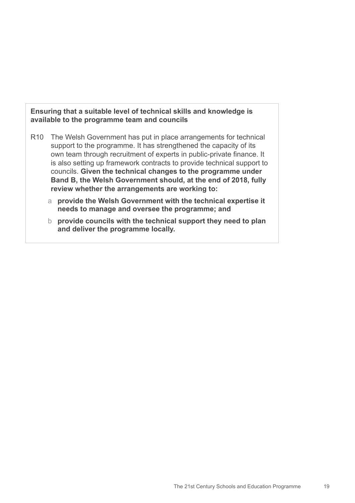### **Ensuring that a suitable level of technical skills and knowledge is available to the programme team and councils**

- R10 The Welsh Government has put in place arrangements for technical support to the programme. It has strengthened the capacity of its own team through recruitment of experts in public-private finance. It is also setting up framework contracts to provide technical support to councils. **Given the technical changes to the programme under Band B, the Welsh Government should, at the end of 2018, fully review whether the arrangements are working to:**
	- a **provide the Welsh Government with the technical expertise it needs to manage and oversee the programme; and**
	- b **provide councils with the technical support they need to plan and deliver the programme locally.**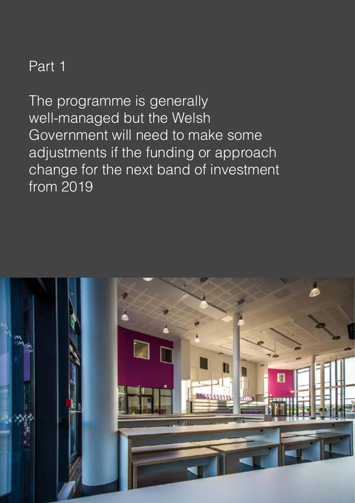# Part 1

The programme is generally well-managed but the Welsh Government will need to make some adjustments if the funding or approach change for the next band of investment from 2019

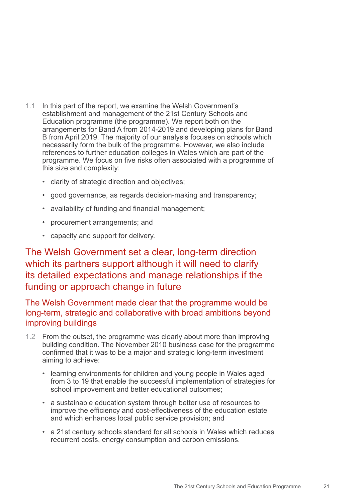- 1.1 In this part of the report, we examine the Welsh Government's establishment and management of the 21st Century Schools and Education programme (the programme). We report both on the arrangements for Band A from 2014-2019 and developing plans for Band B from April 2019. The majority of our analysis focuses on schools which necessarily form the bulk of the programme. However, we also include references to further education colleges in Wales which are part of the programme. We focus on five risks often associated with a programme of this size and complexity:
	- clarity of strategic direction and objectives;
	- good governance, as regards decision-making and transparency;
	- availability of funding and financial management;
	- procurement arrangements; and
	- capacity and support for delivery.

# The Welsh Government set a clear, long-term direction which its partners support although it will need to clarify its detailed expectations and manage relationships if the funding or approach change in future

The Welsh Government made clear that the programme would be long-term, strategic and collaborative with broad ambitions beyond improving buildings

- 1.2 From the outset, the programme was clearly about more than improving building condition. The November 2010 business case for the programme confirmed that it was to be a major and strategic long-term investment aiming to achieve:
	- learning environments for children and young people in Wales aged from 3 to 19 that enable the successful implementation of strategies for school improvement and better educational outcomes;
	- a sustainable education system through better use of resources to improve the efficiency and cost-effectiveness of the education estate and which enhances local public service provision; and
	- a 21st century schools standard for all schools in Wales which reduces recurrent costs, energy consumption and carbon emissions.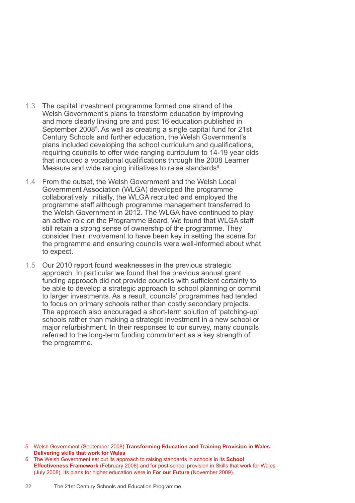- 1.3 The capital investment programme formed one strand of the Welsh Government's plans to transform education by improving and more clearly linking pre and post 16 education published in September 2008<sup>5</sup>. As well as creating a single capital fund for 21st Century Schools and further education, the Welsh Government's plans included developing the school curriculum and qualifications, requiring councils to offer wide ranging curriculum to 14-19 year olds that included a vocational qualifications through the 2008 Learner Measure and wide ranging initiatives to raise standards<sup>6</sup>.
- 1.4 From the outset, the Welsh Government and the Welsh Local Government Association (WLGA) developed the programme collaboratively. Initially, the WLGA recruited and employed the programme staff although programme management transferred to the Welsh Government in 2012. The WLGA have continued to play an active role on the Programme Board. We found that WLGA staff still retain a strong sense of ownership of the programme. They consider their involvement to have been key in setting the scene for the programme and ensuring councils were well-informed about what to expect.
- 1.5 Our 2010 report found weaknesses in the previous strategic approach. In particular we found that the previous annual grant funding approach did not provide councils with sufficient certainty to be able to develop a strategic approach to school planning or commit to larger investments. As a result, councils' programmes had tended to focus on primary schools rather than costly secondary projects. The approach also encouraged a short-term solution of 'patching-up' schools rather than making a strategic investment in a new school or major refurbishment. In their responses to our survey, many councils referred to the long-term funding commitment as a key strength of the programme.

5 Welsh Government (September 2008) **Transforming Education and Training Provision in Wales: Delivering skills that work for Wales** 

<sup>6</sup> The Welsh Government set out its approach to raising standards in schools in its **School Effectiveness Framework** (February 2008) and for post-school provision in Skills that work for Wales (July 2008). Its plans for higher education were in **For our Future** (November 2009).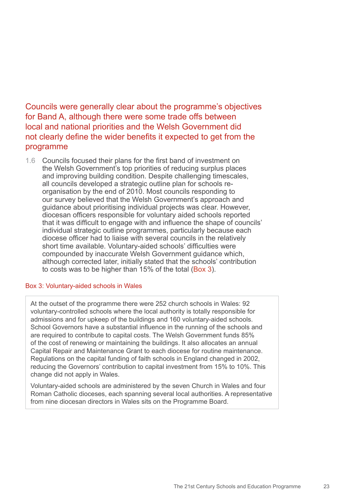Councils were generally clear about the programme's objectives for Band A, although there were some trade offs between local and national priorities and the Welsh Government did not clearly define the wider benefits it expected to get from the programme

1.6 Councils focused their plans for the first band of investment on the Welsh Government's top priorities of reducing surplus places and improving building condition. Despite challenging timescales, all councils developed a strategic outline plan for schools reorganisation by the end of 2010. Most councils responding to our survey believed that the Welsh Government's approach and guidance about prioritising individual projects was clear. However, diocesan officers responsible for voluntary aided schools reported that it was difficult to engage with and influence the shape of councils' individual strategic outline programmes, particularly because each diocese officer had to liaise with several councils in the relatively short time available. Voluntary-aided schools' difficulties were compounded by inaccurate Welsh Government guidance which, although corrected later, initially stated that the schools' contribution to costs was to be higher than 15% of the total (Box 3).

### Box 3: Voluntary-aided schools in Wales

At the outset of the programme there were 252 church schools in Wales: 92 voluntary-controlled schools where the local authority is totally responsible for admissions and for upkeep of the buildings and 160 voluntary-aided schools. School Governors have a substantial influence in the running of the schools and are required to contribute to capital costs. The Welsh Government funds 85% of the cost of renewing or maintaining the buildings. It also allocates an annual Capital Repair and Maintenance Grant to each diocese for routine maintenance. Regulations on the capital funding of faith schools in England changed in 2002, reducing the Governors' contribution to capital investment from 15% to 10%. This change did not apply in Wales.

Voluntary-aided schools are administered by the seven Church in Wales and four Roman Catholic dioceses, each spanning several local authorities. A representative from nine diocesan directors in Wales sits on the Programme Board.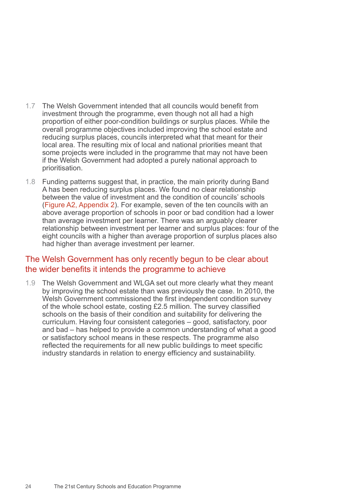- 1.7 The Welsh Government intended that all councils would benefit from investment through the programme, even though not all had a high proportion of either poor-condition buildings or surplus places. While the overall programme objectives included improving the school estate and reducing surplus places, councils interpreted what that meant for their local area. The resulting mix of local and national priorities meant that some projects were included in the programme that may not have been if the Welsh Government had adopted a purely national approach to prioritisation.
- 1.8 Funding patterns suggest that, in practice, the main priority during Band A has been reducing surplus places. We found no clear relationship between the value of investment and the condition of councils' schools (Figure A2, Appendix 2). For example, seven of the ten councils with an above average proportion of schools in poor or bad condition had a lower than average investment per learner. There was an arguably clearer relationship between investment per learner and surplus places: four of the eight councils with a higher than average proportion of surplus places also had higher than average investment per learner.

# The Welsh Government has only recently begun to be clear about the wider benefits it intends the programme to achieve

1.9 The Welsh Government and WLGA set out more clearly what they meant by improving the school estate than was previously the case. In 2010, the Welsh Government commissioned the first independent condition survey of the whole school estate, costing £2.5 million. The survey classified schools on the basis of their condition and suitability for delivering the curriculum. Having four consistent categories – good, satisfactory, poor and bad – has helped to provide a common understanding of what a good or satisfactory school means in these respects. The programme also reflected the requirements for all new public buildings to meet specific industry standards in relation to energy efficiency and sustainability.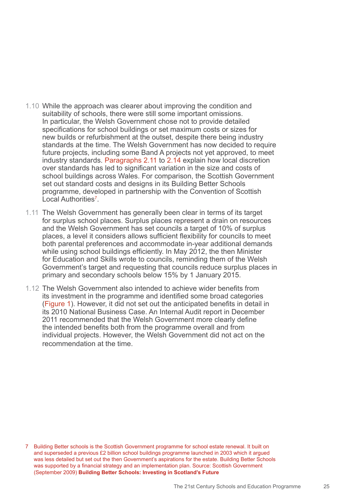- 1.10 While the approach was clearer about improving the condition and suitability of schools, there were still some important omissions. In particular, the Welsh Government chose not to provide detailed specifications for school buildings or set maximum costs or sizes for new builds or refurbishment at the outset, despite there being industry standards at the time. The Welsh Government has now decided to require future projects, including some Band A projects not yet approved, to meet industry standards. Paragraphs 2.11 to 2.14 explain how local discretion over standards has led to significant variation in the size and costs of school buildings across Wales. For comparison, the Scottish Government set out standard costs and designs in its Building Better Schools programme, developed in partnership with the Convention of Scottish Local Authorities<sup>7</sup>.
- 1.11 The Welsh Government has generally been clear in terms of its target for surplus school places. Surplus places represent a drain on resources and the Welsh Government has set councils a target of 10% of surplus places, a level it considers allows sufficient flexibility for councils to meet both parental preferences and accommodate in-year additional demands while using school buildings efficiently. In May 2012, the then Minister for Education and Skills wrote to councils, reminding them of the Welsh Government's target and requesting that councils reduce surplus places in primary and secondary schools below 15% by 1 January 2015.
- 1.12 The Welsh Government also intended to achieve wider benefits from its investment in the programme and identified some broad categories (Figure 1). However, it did not set out the anticipated benefits in detail in its 2010 National Business Case. An Internal Audit report in December 2011 recommended that the Welsh Government more clearly define the intended benefits both from the programme overall and from individual projects. However, the Welsh Government did not act on the recommendation at the time.

<sup>7</sup> Building Better schools is the Scottish Government programme for school estate renewal. It built on and superseded a previous £2 billion school buildings programme launched in 2003 which it argued was less detailed but set out the then Government's aspirations for the estate. Building Better Schools was supported by a financial strategy and an implementation plan. Source: Scottish Government (September 2009) **Building Better Schools: Investing in Scotland's Future**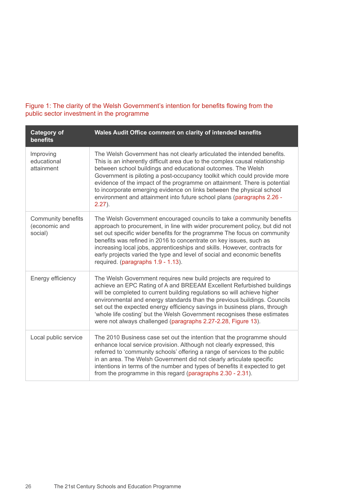### Figure 1: The clarity of the Welsh Government's intention for benefits flowing from the public sector investment in the programme

| <b>Category of</b><br>benefits                        | Wales Audit Office comment on clarity of intended benefits                                                                                                                                                                                                                                                                                                                                                                                                                                                                                      |
|-------------------------------------------------------|-------------------------------------------------------------------------------------------------------------------------------------------------------------------------------------------------------------------------------------------------------------------------------------------------------------------------------------------------------------------------------------------------------------------------------------------------------------------------------------------------------------------------------------------------|
| Improving<br>educational<br>attainment                | The Welsh Government has not clearly articulated the intended benefits.<br>This is an inherently difficult area due to the complex causal relationship<br>between school buildings and educational outcomes. The Welsh<br>Government is piloting a post-occupancy toolkit which could provide more<br>evidence of the impact of the programme on attainment. There is potential<br>to incorporate emerging evidence on links between the physical school<br>environment and attainment into future school plans (paragraphs 2.26 -<br>$2.27$ ). |
| <b>Community benefits</b><br>(economic and<br>social) | The Welsh Government encouraged councils to take a community benefits<br>approach to procurement, in line with wider procurement policy, but did not<br>set out specific wider benefits for the programme The focus on community<br>benefits was refined in 2016 to concentrate on key issues, such as<br>increasing local jobs, apprenticeships and skills. However, contracts for<br>early projects varied the type and level of social and economic benefits<br>required. (paragraphs 1.9 - 1.13).                                           |
| Energy efficiency                                     | The Welsh Government requires new build projects are required to<br>achieve an EPC Rating of A and BREEAM Excellent Refurbished buildings<br>will be completed to current building regulations so will achieve higher<br>environmental and energy standards than the previous buildings. Councils<br>set out the expected energy efficiency savings in business plans, through<br>'whole life costing' but the Welsh Government recognises these estimates<br>were not always challenged (paragraphs 2.27-2.28, Figure 13).                     |
| Local public service                                  | The 2010 Business case set out the intention that the programme should<br>enhance local service provision. Although not clearly expressed, this<br>referred to 'community schools' offering a range of services to the public<br>in an area. The Welsh Government did not clearly articulate specific<br>intentions in terms of the number and types of benefits it expected to get<br>from the programme in this regard (paragraphs 2.30 - 2.31).                                                                                              |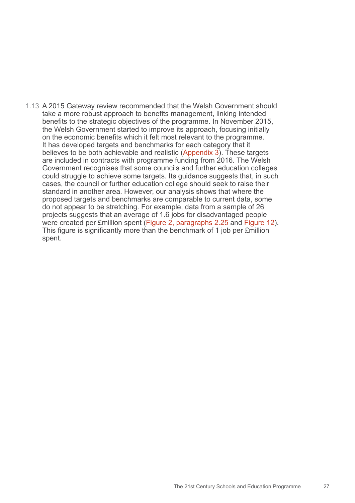1.13 A 2015 Gateway review recommended that the Welsh Government should take a more robust approach to benefits management, linking intended benefits to the strategic objectives of the programme. In November 2015, the Welsh Government started to improve its approach, focusing initially on the economic benefits which it felt most relevant to the programme. It has developed targets and benchmarks for each category that it believes to be both achievable and realistic (Appendix 3). These targets are included in contracts with programme funding from 2016. The Welsh Government recognises that some councils and further education colleges could struggle to achieve some targets. Its guidance suggests that, in such cases, the council or further education college should seek to raise their standard in another area. However, our analysis shows that where the proposed targets and benchmarks are comparable to current data, some do not appear to be stretching. For example, data from a sample of 26 projects suggests that an average of 1.6 jobs for disadvantaged people were created per £million spent (Figure 2, paragraphs 2.25 and Figure 12). This figure is significantly more than the benchmark of 1 job per £million spent.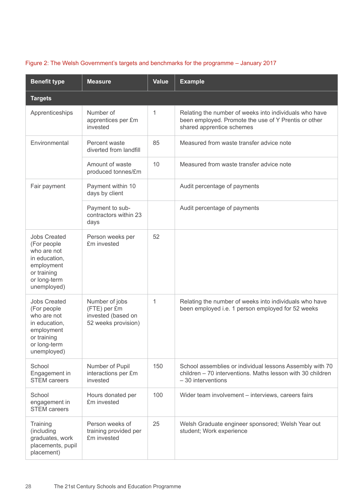| <b>Benefit type</b>                                                                                                            | <b>Measure</b>                                                              | <b>Value</b> | <b>Example</b>                                                                                                                                |  |  |
|--------------------------------------------------------------------------------------------------------------------------------|-----------------------------------------------------------------------------|--------------|-----------------------------------------------------------------------------------------------------------------------------------------------|--|--|
| <b>Targets</b>                                                                                                                 |                                                                             |              |                                                                                                                                               |  |  |
| Apprenticeships                                                                                                                | Number of<br>apprentices per £m<br>invested                                 | 1            | Relating the number of weeks into individuals who have<br>been employed. Promote the use of Y Prentis or other<br>shared apprentice schemes   |  |  |
| Environmental                                                                                                                  | Percent waste<br>diverted from landfill                                     | 85           | Measured from waste transfer advice note                                                                                                      |  |  |
|                                                                                                                                | Amount of waste<br>produced tonnes/£m                                       | 10           | Measured from waste transfer advice note                                                                                                      |  |  |
| Fair payment                                                                                                                   | Payment within 10<br>days by client                                         |              | Audit percentage of payments                                                                                                                  |  |  |
|                                                                                                                                | Payment to sub-<br>contractors within 23<br>days                            |              | Audit percentage of payments                                                                                                                  |  |  |
| <b>Jobs Created</b><br>(For people<br>who are not<br>in education,<br>employment<br>or training<br>or long-term<br>unemployed) | Person weeks per<br>£m invested                                             | 52           |                                                                                                                                               |  |  |
| <b>Jobs Created</b><br>(For people<br>who are not<br>in education,<br>employment<br>or training<br>or long-term<br>unemployed) | Number of jobs<br>(FTE) per £m<br>invested (based on<br>52 weeks provision) | 1            | Relating the number of weeks into individuals who have<br>been employed i.e. 1 person employed for 52 weeks                                   |  |  |
| School<br>Engagement in<br><b>STEM</b> careers                                                                                 | Number of Pupil<br>interactions per £m<br>invested                          | 150          | School assemblies or individual lessons Assembly with 70<br>children – 70 interventions. Maths lesson with 30 children<br>$-30$ interventions |  |  |
| School<br>engagement in<br><b>STEM</b> careers                                                                                 | Hours donated per<br>£m invested                                            | 100          | Wider team involvement - interviews, careers fairs                                                                                            |  |  |
| Training<br>(including<br>graduates, work<br>placements, pupil<br>placement)                                                   | Person weeks of<br>training provided per<br>£m invested                     | 25           | Welsh Graduate engineer sponsored; Welsh Year out<br>student; Work experience                                                                 |  |  |

### Figure 2: The Welsh Government's targets and benchmarks for the programme – January 2017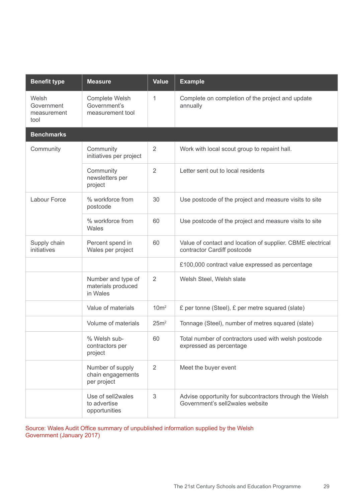| <b>Benefit type</b>                        | <b>Measure</b>                                       | <b>Value</b>     | <b>Example</b>                                                                             |
|--------------------------------------------|------------------------------------------------------|------------------|--------------------------------------------------------------------------------------------|
| Welsh<br>Government<br>measurement<br>tool | Complete Welsh<br>Government's<br>measurement tool   | 1                | Complete on completion of the project and update<br>annually                               |
| <b>Benchmarks</b>                          |                                                      |                  |                                                                                            |
| Community                                  | Community<br>initiatives per project                 | 2                | Work with local scout group to repaint hall.                                               |
|                                            | Community<br>newsletters per<br>project              | $\overline{2}$   | Letter sent out to local residents                                                         |
| Labour Force                               | % workforce from<br>postcode                         | 30               | Use postcode of the project and measure visits to site                                     |
|                                            | % workforce from<br>Wales                            | 60               | Use postcode of the project and measure visits to site                                     |
| Supply chain<br>initiatives                | Percent spend in<br>Wales per project                | 60               | Value of contact and location of supplier. CBME electrical<br>contractor Cardiff postcode  |
|                                            |                                                      |                  | £100,000 contract value expressed as percentage                                            |
|                                            | Number and type of<br>materials produced<br>in Wales | $\overline{2}$   | Welsh Steel, Welsh slate                                                                   |
|                                            | Value of materials                                   | 10 <sup>m²</sup> | £ per tonne (Steel), £ per metre squared (slate)                                           |
|                                            | Volume of materials                                  | 25m <sup>2</sup> | Tonnage (Steel), number of metres squared (slate)                                          |
|                                            | % Welsh sub-<br>contractors per<br>project           | 60               | Total number of contractors used with welsh postcode<br>expressed as percentage            |
|                                            | Number of supply<br>chain engagements<br>per project | 2                | Meet the buyer event                                                                       |
|                                            | Use of sell2wales<br>to advertise<br>opportunities   | 3                | Advise opportunity for subcontractors through the Welsh<br>Government's sell2wales website |

Source: Wales Audit Office summary of unpublished information supplied by the Welsh Government (January 2017)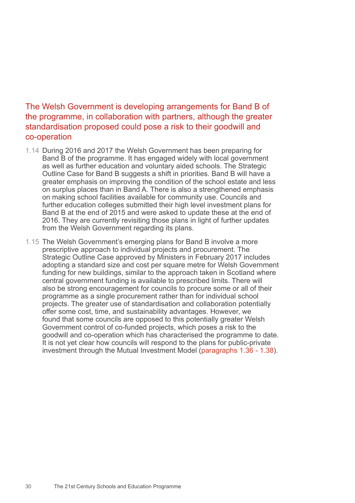## The Welsh Government is developing arrangements for Band B of the programme, in collaboration with partners, although the greater standardisation proposed could pose a risk to their goodwill and co-operation

- 1.14 During 2016 and 2017 the Welsh Government has been preparing for Band B of the programme. It has engaged widely with local government as well as further education and voluntary aided schools. The Strategic Outline Case for Band B suggests a shift in priorities. Band B will have a greater emphasis on improving the condition of the school estate and less on surplus places than in Band A. There is also a strengthened emphasis on making school facilities available for community use. Councils and further education colleges submitted their high level investment plans for Band B at the end of 2015 and were asked to update these at the end of 2016. They are currently revisiting those plans in light of further updates from the Welsh Government regarding its plans.
- 1.15 The Welsh Government's emerging plans for Band B involve a more prescriptive approach to individual projects and procurement. The Strategic Outline Case approved by Ministers in February 2017 includes adopting a standard size and cost per square metre for Welsh Government funding for new buildings, similar to the approach taken in Scotland where central government funding is available to prescribed limits. There will also be strong encouragement for councils to procure some or all of their programme as a single procurement rather than for individual school projects. The greater use of standardisation and collaboration potentially offer some cost, time, and sustainability advantages. However, we found that some councils are opposed to this potentially greater Welsh Government control of co-funded projects, which poses a risk to the goodwill and co-operation which has characterised the programme to date. It is not yet clear how councils will respond to the plans for public-private investment through the Mutual Investment Model (paragraphs 1.36 - 1.38).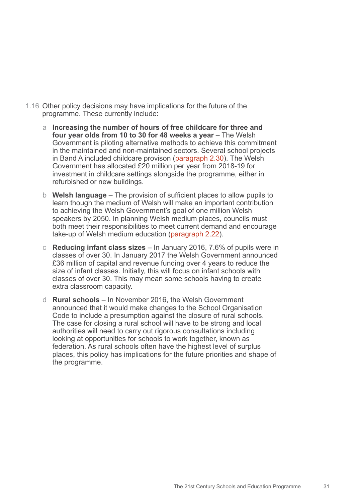- 1.16 Other policy decisions may have implications for the future of the programme. These currently include:
	- a **Increasing the number of hours of free childcare for three and four year olds from 10 to 30 for 48 weeks a year** – The Welsh Government is piloting alternative methods to achieve this commitment in the maintained and non-maintained sectors. Several school projects in Band A included childcare provison (paragraph 2.30). The Welsh Government has allocated £20 million per year from 2018-19 for investment in childcare settings alongside the programme, either in refurbished or new buildings.
	- b **Welsh language** The provision of sufficient places to allow pupils to learn though the medium of Welsh will make an important contribution to achieving the Welsh Government's goal of one million Welsh speakers by 2050. In planning Welsh medium places, councils must both meet their responsibilities to meet current demand and encourage take-up of Welsh medium education (paragraph 2.22).
	- c **Reducing infant class sizes** In January 2016, 7.6% of pupils were in classes of over 30. In January 2017 the Welsh Government announced £36 million of capital and revenue funding over 4 years to reduce the size of infant classes. Initially, this will focus on infant schools with classes of over 30. This may mean some schools having to create extra classroom capacity.
	- d **Rural schools** In November 2016, the Welsh Government announced that it would make changes to the School Organisation Code to include a presumption against the closure of rural schools. The case for closing a rural school will have to be strong and local authorities will need to carry out rigorous consultations including looking at opportunities for schools to work together, known as federation. As rural schools often have the highest level of surplus places, this policy has implications for the future priorities and shape of the programme.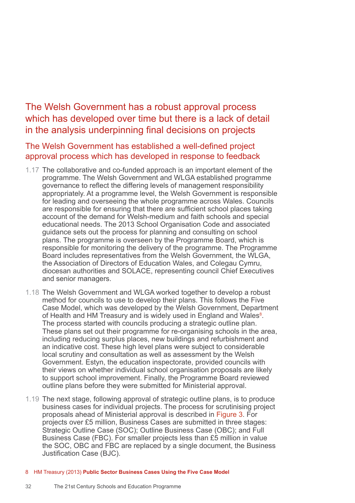The Welsh Government has a robust approval process which has developed over time but there is a lack of detail in the analysis underpinning final decisions on projects

The Welsh Government has established a well-defined project approval process which has developed in response to feedback

- 1.17 The collaborative and co-funded approach is an important element of the programme. The Welsh Government and WLGA established programme governance to reflect the differing levels of management responsibility appropriately. At a programme level, the Welsh Government is responsible for leading and overseeing the whole programme across Wales. Councils are responsible for ensuring that there are sufficient school places taking account of the demand for Welsh-medium and faith schools and special educational needs. The 2013 School Organisation Code and associated guidance sets out the process for planning and consulting on school plans. The programme is overseen by the Programme Board, which is responsible for monitoring the delivery of the programme. The Programme Board includes representatives from the Welsh Government, the WLGA, the Association of Directors of Education Wales, and Colegau Cymru, diocesan authorities and SOLACE, representing council Chief Executives and senior managers.
- 1.18 The Welsh Government and WLGA worked together to develop a robust method for councils to use to develop their plans. This follows the Five Case Model, which was developed by the Welsh Government, Department of Health and HM Treasury and is widely used in England and Wales<sup>8</sup>. The process started with councils producing a strategic outline plan. These plans set out their programme for re-organising schools in the area, including reducing surplus places, new buildings and refurbishment and an indicative cost. These high level plans were subject to considerable local scrutiny and consultation as well as assessment by the Welsh Government. Estyn, the education inspectorate, provided councils with their views on whether individual school organisation proposals are likely to support school improvement. Finally, the Programme Board reviewed outline plans before they were submitted for Ministerial approval.
- 1.19 The next stage, following approval of strategic outline plans, is to produce business cases for individual projects. The process for scrutinising project proposals ahead of Ministerial approval is described in Figure 3. For projects over £5 million, Business Cases are submitted in three stages: Strategic Outline Case (SOC); Outline Business Case (OBC); and Full Business Case (FBC). For smaller projects less than £5 million in value the SOC, OBC and FBC are replaced by a single document, the Business Justification Case (BJC).
- 8 HM Treasury (2013) **Public Sector Business Cases Using the Five Case Model**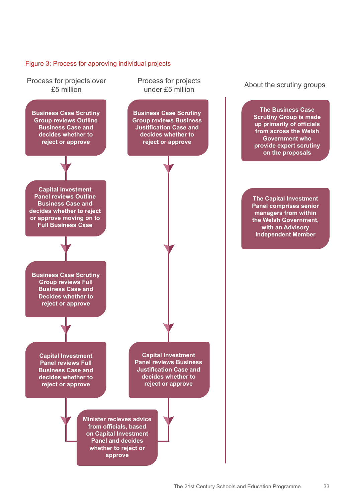### Figure 3: Process for approving individual projects

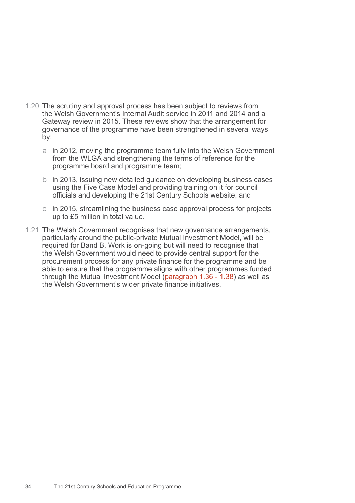- 1.20 The scrutiny and approval process has been subject to reviews from the Welsh Government's Internal Audit service in 2011 and 2014 and a Gateway review in 2015. These reviews show that the arrangement for governance of the programme have been strengthened in several ways by:
	- a in 2012, moving the programme team fully into the Welsh Government from the WLGA and strengthening the terms of reference for the programme board and programme team;
	- b in 2013, issuing new detailed guidance on developing business cases using the Five Case Model and providing training on it for council officials and developing the 21st Century Schools website; and
	- c in 2015, streamlining the business case approval process for projects up to £5 million in total value.
- 1.21 The Welsh Government recognises that new governance arrangements, particularly around the public-private Mutual Investment Model, will be required for Band B. Work is on-going but will need to recognise that the Welsh Government would need to provide central support for the procurement process for any private finance for the programme and be able to ensure that the programme aligns with other programmes funded through the Mutual Investment Model (paragraph 1.36 - 1.38) as well as the Welsh Government's wider private finance initiatives.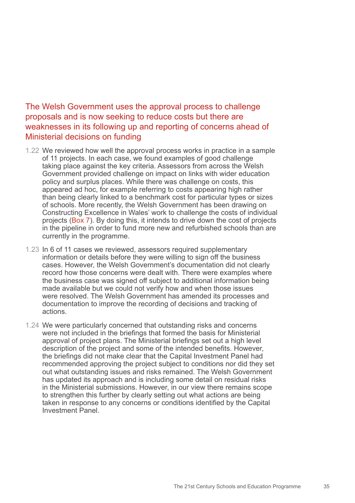## The Welsh Government uses the approval process to challenge proposals and is now seeking to reduce costs but there are weaknesses in its following up and reporting of concerns ahead of Ministerial decisions on funding

- 1.22 We reviewed how well the approval process works in practice in a sample of 11 projects. In each case, we found examples of good challenge taking place against the key criteria. Assessors from across the Welsh Government provided challenge on impact on links with wider education policy and surplus places. While there was challenge on costs, this appeared ad hoc, for example referring to costs appearing high rather than being clearly linked to a benchmark cost for particular types or sizes of schools. More recently, the Welsh Government has been drawing on Constructing Excellence in Wales' work to challenge the costs of individual projects (Box 7). By doing this, it intends to drive down the cost of projects in the pipeline in order to fund more new and refurbished schools than are currently in the programme.
- 1.23 In 6 of 11 cases we reviewed, assessors required supplementary information or details before they were willing to sign off the business cases. However, the Welsh Government's documentation did not clearly record how those concerns were dealt with. There were examples where the business case was signed off subject to additional information being made available but we could not verify how and when those issues were resolved. The Welsh Government has amended its processes and documentation to improve the recording of decisions and tracking of actions.
- 1.24 We were particularly concerned that outstanding risks and concerns were not included in the briefings that formed the basis for Ministerial approval of project plans. The Ministerial briefings set out a high level description of the project and some of the intended benefits. However, the briefings did not make clear that the Capital Investment Panel had recommended approving the project subject to conditions nor did they set out what outstanding issues and risks remained. The Welsh Government has updated its approach and is including some detail on residual risks in the Ministerial submissions. However, in our view there remains scope to strengthen this further by clearly setting out what actions are being taken in response to any concerns or conditions identified by the Capital Investment Panel.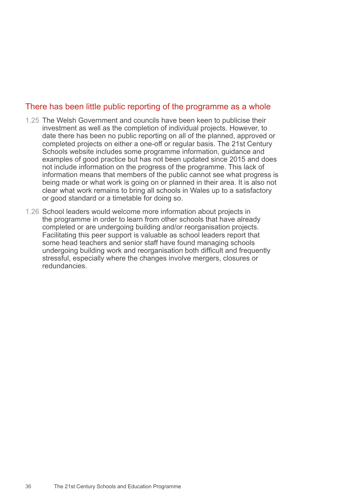### There has been little public reporting of the programme as a whole

- 1.25 The Welsh Government and councils have been keen to publicise their investment as well as the completion of individual projects. However, to date there has been no public reporting on all of the planned, approved or completed projects on either a one-off or regular basis. The 21st Century Schools website includes some programme information, guidance and examples of good practice but has not been updated since 2015 and does not include information on the progress of the programme. This lack of information means that members of the public cannot see what progress is being made or what work is going on or planned in their area. It is also not clear what work remains to bring all schools in Wales up to a satisfactory or good standard or a timetable for doing so.
- 1.26 School leaders would welcome more information about projects in the programme in order to learn from other schools that have already completed or are undergoing building and/or reorganisation projects. Facilitating this peer support is valuable as school leaders report that some head teachers and senior staff have found managing schools undergoing building work and reorganisation both difficult and frequently stressful, especially where the changes involve mergers, closures or redundancies.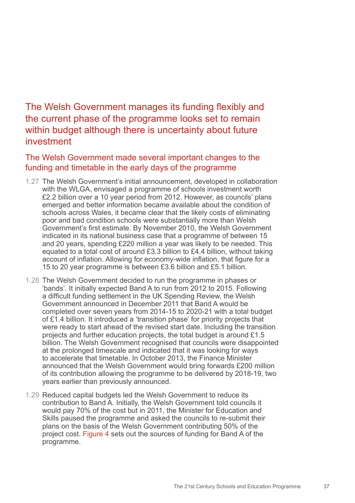The Welsh Government manages its funding flexibly and the current phase of the programme looks set to remain within budget although there is uncertainty about future investment

The Welsh Government made several important changes to the funding and timetable in the early days of the programme

- 1.27 The Welsh Government's initial announcement, developed in collaboration with the WLGA, envisaged a programme of schools investment worth £2.2 billion over a 10 year period from 2012. However, as councils' plans emerged and better information became available about the condition of schools across Wales, it became clear that the likely costs of eliminating poor and bad condition schools were substantially more than Welsh Government's first estimate. By November 2010, the Welsh Government indicated in its national business case that a programme of between 15 and 20 years, spending £220 million a year was likely to be needed. This equated to a total cost of around £3.3 billion to £4.4 billion, without taking account of inflation. Allowing for economy-wide inflation, that figure for a 15 to 20 year programme is between £3.6 billion and £5.1 billion.
- 1.28 The Welsh Government decided to run the programme in phases or 'bands'. It initially expected Band A to run from 2012 to 2015. Following a difficult funding settlement in the UK Spending Review, the Welsh Government announced in December 2011 that Band A would be completed over seven years from 2014-15 to 2020-21 with a total budget of £1.4 billion. It introduced a 'transition phase' for priority projects that were ready to start ahead of the revised start date. Including the transition projects and further education projects, the total budget is around £1.5 billion. The Welsh Government recognised that councils were disappointed at the prolonged timescale and indicated that it was looking for ways to accelerate that timetable. In October 2013, the Finance Minister announced that the Welsh Government would bring forwards £200 million of its contribution allowing the programme to be delivered by 2018-19, two years earlier than previously announced.
- 1.29 Reduced capital budgets led the Welsh Government to reduce its contribution to Band A. Initially, the Welsh Government told councils it would pay 70% of the cost but in 2011, the Minister for Education and Skills paused the programme and asked the councils to re-submit their plans on the basis of the Welsh Government contributing 50% of the project cost. Figure 4 sets out the sources of funding for Band A of the programme.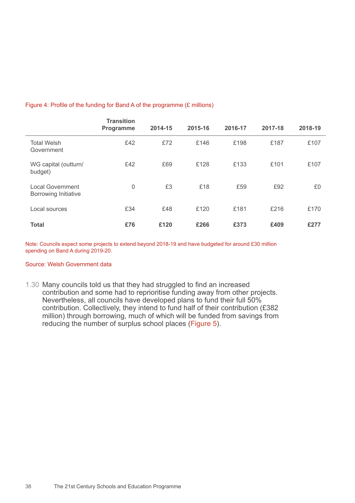#### Figure 4: Profile of the funding for Band A of the programme (£ millions)

|                                                        | <b>Transition</b><br><b>Programme</b> | 2014-15 | 2015-16 | 2016-17 | 2017-18 | 2018-19 |
|--------------------------------------------------------|---------------------------------------|---------|---------|---------|---------|---------|
| <b>Total Welsh</b><br>Government                       | £42                                   | £72     | £146    | £198    | £187    | £107    |
| WG capital (outturn/<br>budget)                        | £42                                   | £69     | £128    | £133    | £101    | £107    |
| <b>Local Government</b><br><b>Borrowing Initiative</b> | 0                                     | £3      | £18     | £59     | £92     | £0      |
| Local sources                                          | £34                                   | £48     | £120    | £181    | £216    | £170    |
| <b>Total</b>                                           | £76                                   | £120    | £266    | £373    | £409    | £277    |

Note: Councils expect some projects to extend beyond 2018-19 and have budgeted for around £30 million spending on Band A during 2019-20.

#### Source: Welsh Government data

1.30 Many councils told us that they had struggled to find an increased contribution and some had to reprioritise funding away from other projects. Nevertheless, all councils have developed plans to fund their full 50% contribution. Collectively, they intend to fund half of their contribution (£382 million) through borrowing, much of which will be funded from savings from reducing the number of surplus school places (Figure 5).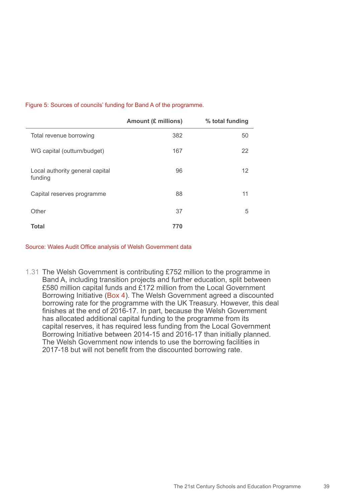|                                            | <b>Amount (£ millions)</b> | % total funding |
|--------------------------------------------|----------------------------|-----------------|
| Total revenue borrowing                    | 382                        | 50              |
| WG capital (outturn/budget)                | 167                        | 22              |
| Local authority general capital<br>funding | 96                         | 12              |
| Capital reserves programme                 | 88                         | 11              |
| Other                                      | 37                         | 5               |
| Total                                      | 770                        |                 |

#### Figure 5: Sources of councils' funding for Band A of the programme.

Source: Wales Audit Office analysis of Welsh Government data

1.31 The Welsh Government is contributing £752 million to the programme in Band A, including transition projects and further education, split between £580 million capital funds and £172 million from the Local Government Borrowing Initiative (Box 4). The Welsh Government agreed a discounted borrowing rate for the programme with the UK Treasury. However, this deal finishes at the end of 2016-17. In part, because the Welsh Government has allocated additional capital funding to the programme from its capital reserves, it has required less funding from the Local Government Borrowing Initiative between 2014-15 and 2016-17 than initially planned. The Welsh Government now intends to use the borrowing facilities in 2017-18 but will not benefit from the discounted borrowing rate.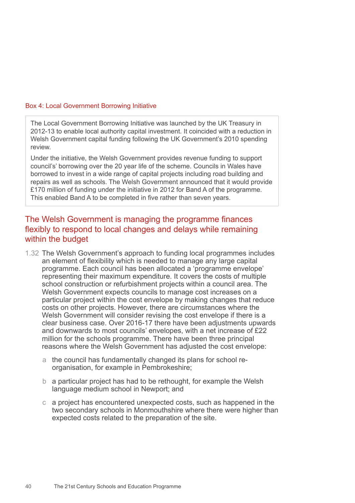#### Box 4: Local Government Borrowing Initiative

The Local Government Borrowing Initiative was launched by the UK Treasury in 2012-13 to enable local authority capital investment. It coincided with a reduction in Welsh Government capital funding following the UK Government's 2010 spending review.

Under the initiative, the Welsh Government provides revenue funding to support council's' borrowing over the 20 year life of the scheme. Councils in Wales have borrowed to invest in a wide range of capital projects including road building and repairs as well as schools. The Welsh Government announced that it would provide £170 million of funding under the initiative in 2012 for Band A of the programme. This enabled Band A to be completed in five rather than seven years.

### The Welsh Government is managing the programme finances flexibly to respond to local changes and delays while remaining within the budget

- 1.32 The Welsh Government's approach to funding local programmes includes an element of flexibility which is needed to manage any large capital programme. Each council has been allocated a 'programme envelope' representing their maximum expenditure. It covers the costs of multiple school construction or refurbishment projects within a council area. The Welsh Government expects councils to manage cost increases on a particular project within the cost envelope by making changes that reduce costs on other projects. However, there are circumstances where the Welsh Government will consider revising the cost envelope if there is a clear business case. Over 2016-17 there have been adjustments upwards and downwards to most councils' envelopes, with a net increase of £22 million for the schools programme. There have been three principal reasons where the Welsh Government has adjusted the cost envelope:
	- a the council has fundamentally changed its plans for school reorganisation, for example in Pembrokeshire;
	- b a particular project has had to be rethought, for example the Welsh language medium school in Newport; and
	- c a project has encountered unexpected costs, such as happened in the two secondary schools in Monmouthshire where there were higher than expected costs related to the preparation of the site.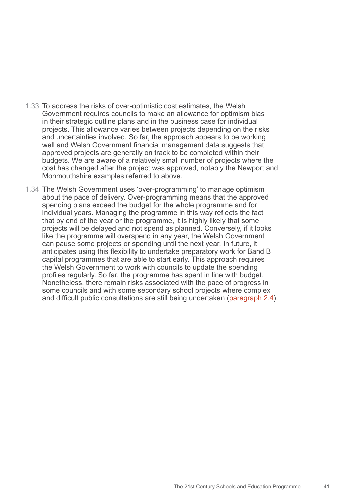- 1.33 To address the risks of over-optimistic cost estimates, the Welsh Government requires councils to make an allowance for optimism bias in their strategic outline plans and in the business case for individual projects. This allowance varies between projects depending on the risks and uncertainties involved. So far, the approach appears to be working well and Welsh Government financial management data suggests that approved projects are generally on track to be completed within their budgets. We are aware of a relatively small number of projects where the cost has changed after the project was approved, notably the Newport and Monmouthshire examples referred to above.
- 1.34 The Welsh Government uses 'over-programming' to manage optimism about the pace of delivery. Over-programming means that the approved spending plans exceed the budget for the whole programme and for individual years. Managing the programme in this way reflects the fact that by end of the year or the programme, it is highly likely that some projects will be delayed and not spend as planned. Conversely, if it looks like the programme will overspend in any year, the Welsh Government can pause some projects or spending until the next year. In future, it anticipates using this flexibility to undertake preparatory work for Band B capital programmes that are able to start early. This approach requires the Welsh Government to work with councils to update the spending profiles regularly. So far, the programme has spent in line with budget. Nonetheless, there remain risks associated with the pace of progress in some councils and with some secondary school projects where complex and difficult public consultations are still being undertaken (paragraph 2.4).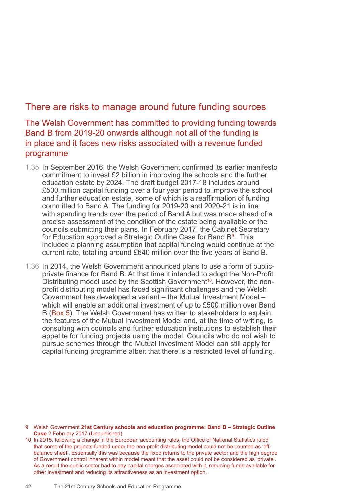# There are risks to manage around future funding sources

The Welsh Government has committed to providing funding towards Band B from 2019-20 onwards although not all of the funding is in place and it faces new risks associated with a revenue funded programme

- 1.35 In September 2016, the Welsh Government confirmed its earlier manifesto commitment to invest £2 billion in improving the schools and the further education estate by 2024. The draft budget 2017-18 includes around £500 million capital funding over a four year period to improve the school and further education estate, some of which is a reaffirmation of funding committed to Band A. The funding for 2019-20 and 2020-21 is in line with spending trends over the period of Band A but was made ahead of a precise assessment of the condition of the estate being available or the councils submitting their plans. In February 2017, the Cabinet Secretary for Education approved a Strategic Outline Case for Band B<sup>9</sup> . This included a planning assumption that capital funding would continue at the current rate, totalling around £640 million over the five years of Band B.
- 1.36 In 2014, the Welsh Government announced plans to use a form of publicprivate finance for Band B. At that time it intended to adopt the Non-Profit Distributing model used by the Scottish Government<sup>10</sup>. However, the nonprofit distributing model has faced significant challenges and the Welsh Government has developed a variant – the Mutual Investment Model – which will enable an additional investment of up to £500 million over Band B (Box 5). The Welsh Government has written to stakeholders to explain the features of the Mutual Investment Model and, at the time of writing, is consulting with councils and further education institutions to establish their appetite for funding projects using the model. Councils who do not wish to pursue schemes through the Mutual Investment Model can still apply for capital funding programme albeit that there is a restricted level of funding.

- 9 Welsh Government **21st Century schools and education programme: Band B Strategic Outline Case** 2 February 2017 (Unpublished)
- 10 In 2015, following a change in the European accounting rules, the Office of National Statistics ruled that some of the projects funded under the non-profit distributing model could not be counted as 'offbalance sheet'. Essentially this was because the fixed returns to the private sector and the high degree of Government control inherent within model meant that the asset could not be considered as 'private'. As a result the public sector had to pay capital charges associated with it, reducing funds available for other investment and reducing its attractiveness as an investment option.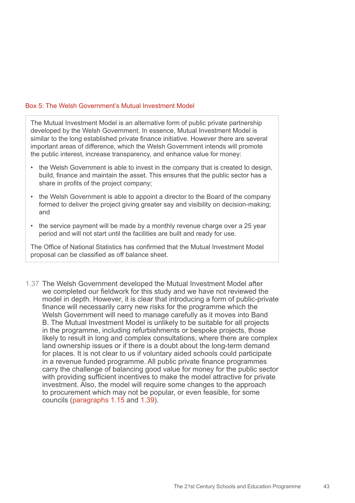#### Box 5: The Welsh Government's Mutual Investment Model

The Mutual Investment Model is an alternative form of public private partnership developed by the Welsh Government. In essence, Mutual Investment Model is similar to the long established private finance initiative. However there are several important areas of difference, which the Welsh Government intends will promote the public interest, increase transparency, and enhance value for money:

- the Welsh Government is able to invest in the company that is created to design, build, finance and maintain the asset. This ensures that the public sector has a share in profits of the project company;
- the Welsh Government is able to appoint a director to the Board of the company formed to deliver the project giving greater say and visibility on decision-making; and
- the service payment will be made by a monthly revenue charge over a 25 year period and will not start until the facilities are built and ready for use.

The Office of National Statistics has confirmed that the Mutual Investment Model proposal can be classified as off balance sheet.

1.37 The Welsh Government developed the Mutual Investment Model after we completed our fieldwork for this study and we have not reviewed the model in depth. However, it is clear that introducing a form of public-private finance will necessarily carry new risks for the programme which the Welsh Government will need to manage carefully as it moves into Band B. The Mutual Investment Model is unlikely to be suitable for all projects in the programme, including refurbishments or bespoke projects, those likely to result in long and complex consultations, where there are complex land ownership issues or if there is a doubt about the long-term demand for places. It is not clear to us if voluntary aided schools could participate in a revenue funded programme. All public private finance programmes carry the challenge of balancing good value for money for the public sector with providing sufficient incentives to make the model attractive for private investment. Also, the model will require some changes to the approach to procurement which may not be popular, or even feasible, for some councils (paragraphs 1.15 and 1.39).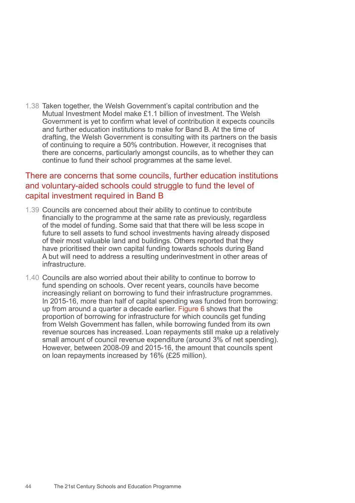1.38 Taken together, the Welsh Government's capital contribution and the Mutual Investment Model make £1.1 billion of investment. The Welsh Government is yet to confirm what level of contribution it expects councils and further education institutions to make for Band B. At the time of drafting, the Welsh Government is consulting with its partners on the basis of continuing to require a 50% contribution. However, it recognises that there are concerns, particularly amongst councils, as to whether they can continue to fund their school programmes at the same level.

### There are concerns that some councils, further education institutions and voluntary-aided schools could struggle to fund the level of capital investment required in Band B

- 1.39 Councils are concerned about their ability to continue to contribute financially to the programme at the same rate as previously, regardless of the model of funding. Some said that that there will be less scope in future to sell assets to fund school investments having already disposed of their most valuable land and buildings. Others reported that they have prioritised their own capital funding towards schools during Band A but will need to address a resulting underinvestment in other areas of infrastructure.
- 1.40 Councils are also worried about their ability to continue to borrow to fund spending on schools. Over recent years, councils have become increasingly reliant on borrowing to fund their infrastructure programmes. In 2015-16, more than half of capital spending was funded from borrowing: up from around a quarter a decade earlier. Figure 6 shows that the proportion of borrowing for infrastructure for which councils get funding from Welsh Government has fallen, while borrowing funded from its own revenue sources has increased. Loan repayments still make up a relatively small amount of council revenue expenditure (around 3% of net spending). However, between 2008-09 and 2015-16, the amount that councils spent on loan repayments increased by 16% (£25 million).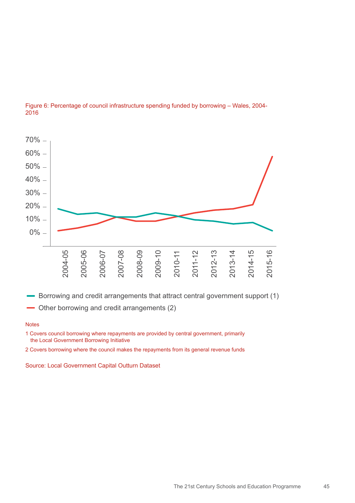

#### Figure 6: Percentage of council infrastructure spending funded by borrowing – Wales, 2004- 2016

- Other borrowing and credit arrangements (2)

#### **Notes**

1 Covers council borrowing where repayments are provided by central government, primarily the Local Government Borrowing Initiative

2 Covers borrowing where the council makes the repayments from its general revenue funds

Source: Local Government Capital Outturn Dataset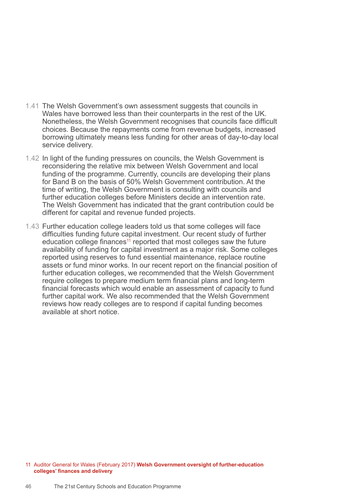- 1.41 The Welsh Government's own assessment suggests that councils in Wales have borrowed less than their counterparts in the rest of the UK. Nonetheless, the Welsh Government recognises that councils face difficult choices. Because the repayments come from revenue budgets, increased borrowing ultimately means less funding for other areas of day-to-day local service delivery.
- 1.42 In light of the funding pressures on councils, the Welsh Government is reconsidering the relative mix between Welsh Government and local funding of the programme. Currently, councils are developing their plans for Band B on the basis of 50% Welsh Government contribution. At the time of writing, the Welsh Government is consulting with councils and further education colleges before Ministers decide an intervention rate. The Welsh Government has indicated that the grant contribution could be different for capital and revenue funded projects.
- 1.43 Further education college leaders told us that some colleges will face difficulties funding future capital investment. Our recent study of further education college finances<sup>11</sup> reported that most colleges saw the future availability of funding for capital investment as a major risk. Some colleges reported using reserves to fund essential maintenance, replace routine assets or fund minor works. In our recent report on the financial position of further education colleges, we recommended that the Welsh Government require colleges to prepare medium term financial plans and long-term financial forecasts which would enable an assessment of capacity to fund further capital work. We also recommended that the Welsh Government reviews how ready colleges are to respond if capital funding becomes available at short notice.

<sup>11</sup> Auditor General for Wales (February 2017) **Welsh Government oversight of further-education colleges' finances and delivery**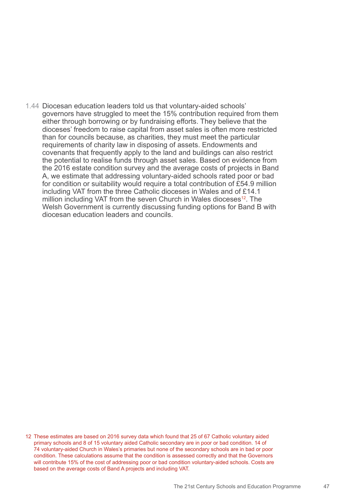1.44 Diocesan education leaders told us that voluntary-aided schools' governors have struggled to meet the 15% contribution required from them either through borrowing or by fundraising efforts. They believe that the dioceses' freedom to raise capital from asset sales is often more restricted than for councils because, as charities, they must meet the particular requirements of charity law in disposing of assets. Endowments and covenants that frequently apply to the land and buildings can also restrict the potential to realise funds through asset sales. Based on evidence from the 2016 estate condition survey and the average costs of projects in Band A, we estimate that addressing voluntary-aided schools rated poor or bad for condition or suitability would require a total contribution of £54.9 million including VAT from the three Catholic dioceses in Wales and of £14.1 million including VAT from the seven Church in Wales dioceses<sup>12</sup>. The Welsh Government is currently discussing funding options for Band B with diocesan education leaders and councils.

12 These estimates are based on 2016 survey data which found that 25 of 67 Catholic voluntary aided primary schools and 8 of 15 voluntary aided Catholic secondary are in poor or bad condition. 14 of 74 voluntary-aided Church in Wales's primaries but none of the secondary schools are in bad or poor condition. These calculations assume that the condition is assessed correctly and that the Governors will contribute 15% of the cost of addressing poor or bad condition voluntary-aided schools. Costs are based on the average costs of Band A projects and including VAT.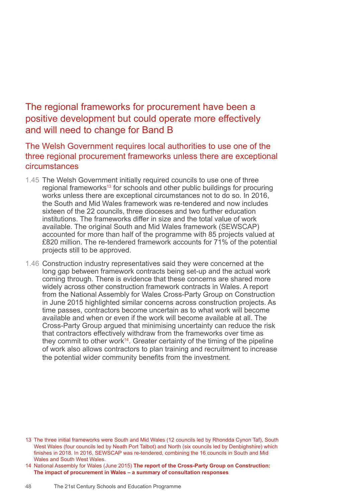# The regional frameworks for procurement have been a positive development but could operate more effectively and will need to change for Band B

The Welsh Government requires local authorities to use one of the three regional procurement frameworks unless there are exceptional circumstances

- 1.45 The Welsh Government initially required councils to use one of three regional frameworks<sup>13</sup> for schools and other public buildings for procuring works unless there are exceptional circumstances not to do so. In 2016, the South and Mid Wales framework was re-tendered and now includes sixteen of the 22 councils, three dioceses and two further education institutions. The frameworks differ in size and the total value of work available. The original South and Mid Wales framework (SEWSCAP) accounted for more than half of the programme with 85 projects valued at £820 million. The re-tendered framework accounts for 71% of the potential projects still to be approved.
- 1.46 Construction industry representatives said they were concerned at the long gap between framework contracts being set-up and the actual work coming through. There is evidence that these concerns are shared more widely across other construction framework contracts in Wales. A report from the National Assembly for Wales Cross-Party Group on Construction in June 2015 highlighted similar concerns across construction projects. As time passes, contractors become uncertain as to what work will become available and when or even if the work will become available at all. The Cross-Party Group argued that minimising uncertainty can reduce the risk that contractors effectively withdraw from the frameworks over time as they commit to other work<sup>14</sup>. Greater certainty of the timing of the pipeline of work also allows contractors to plan training and recruitment to increase the potential wider community benefits from the investment.

<sup>13</sup> The three initial frameworks were South and Mid Wales (12 councils led by Rhondda Cynon Taf), South West Wales (four councils led by Neath Port Talbot) and North (six councils led by Denbighshire) which finishes in 2018. In 2016, SEWSCAP was re-tendered, combining the 16 councils in South and Mid Wales and South West Wales.

<sup>14</sup> National Assembly for Wales (June 2015) **The report of the Cross-Party Group on Construction: The impact of procurement in Wales – a summary of consultation responses**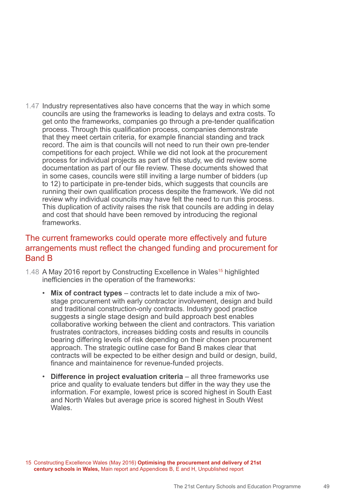1.47 Industry representatives also have concerns that the way in which some councils are using the frameworks is leading to delays and extra costs. To get onto the frameworks, companies go through a pre-tender qualification process. Through this qualification process, companies demonstrate that they meet certain criteria, for example financial standing and track record. The aim is that councils will not need to run their own pre-tender competitions for each project. While we did not look at the procurement process for individual projects as part of this study, we did review some documentation as part of our file review. These documents showed that in some cases, councils were still inviting a large number of bidders (up to 12) to participate in pre-tender bids, which suggests that councils are running their own qualification process despite the framework. We did not review why individual councils may have felt the need to run this process. This duplication of activity raises the risk that councils are adding in delay and cost that should have been removed by introducing the regional frameworks.

### The current frameworks could operate more effectively and future arrangements must reflect the changed funding and procurement for Band B

- 1.48 A May 2016 report by Constructing Excellence in Wales<sup>15</sup> highlighted inefficiencies in the operation of the frameworks:
	- **Mix of contract types**  contracts let to date include a mix of twostage procurement with early contractor involvement, design and build and traditional construction-only contracts. Industry good practice suggests a single stage design and build approach best enables collaborative working between the client and contractors. This variation frustrates contractors, increases bidding costs and results in councils bearing differing levels of risk depending on their chosen procurement approach. The strategic outline case for Band B makes clear that contracts will be expected to be either design and build or design, build, finance and maintainence for revenue-funded projects.
	- **Difference in project evaluation criteria** all three frameworks use price and quality to evaluate tenders but differ in the way they use the information. For example, lowest price is scored highest in South East and North Wales but average price is scored highest in South West **Wales**

15 Constructing Excellence Wales (May 2016) **Optimising the procurement and delivery of 21st century schools in Wales,** Main report and Appendices B, E and H, Unpublished report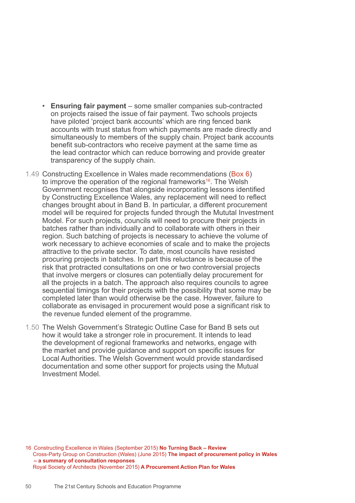- **Ensuring fair payment** some smaller companies sub-contracted on projects raised the issue of fair payment. Two schools projects have piloted 'project bank accounts' which are ring fenced bank accounts with trust status from which payments are made directly and simultaneously to members of the supply chain. Project bank accounts benefit sub-contractors who receive payment at the same time as the lead contractor which can reduce borrowing and provide greater transparency of the supply chain.
- 1.49 Constructing Excellence in Wales made recommendations (Box 6) to improve the operation of the regional frameworks<sup>16</sup>. The Welsh Government recognises that alongside incorporating lessons identified by Constructing Excellence Wales, any replacement will need to reflect changes brought about in Band B. In particular, a different procurement model will be required for projects funded through the Mututal Investment Model. For such projects, councils will need to procure their projects in batches rather than individually and to collaborate with others in their region. Such batching of projects is necessary to achieve the volume of work necessary to achieve economies of scale and to make the projects attractive to the private sector. To date, most councils have resisted procuring projects in batches. In part this reluctance is because of the risk that protracted consultations on one or two controversial projects that involve mergers or closures can potentially delay procurement for all the projects in a batch. The approach also requires councils to agree sequential timings for their projects with the possibility that some may be completed later than would otherwise be the case. However, failure to collaborate as envisaged in procurement would pose a significant risk to the revenue funded element of the programme.
- 1.50 The Welsh Government's Strategic Outline Case for Band B sets out how it would take a stronger role in procurement. It intends to lead the development of regional frameworks and networks, engage with the market and provide guidance and support on specific issues for Local Authorities. The Welsh Government would provide standardised documentation and some other support for projects using the Mutual Investment Model.

16 Constructing Excellence in Wales (September 2015) **No Turning Back – Review**  Cross-Party Group on Construction (Wales) (June 2015) **The impact of procurement policy in Wales – a summary of consultation responses**  Royal Society of Architects (November 2015) **A Procurement Action Plan for Wales**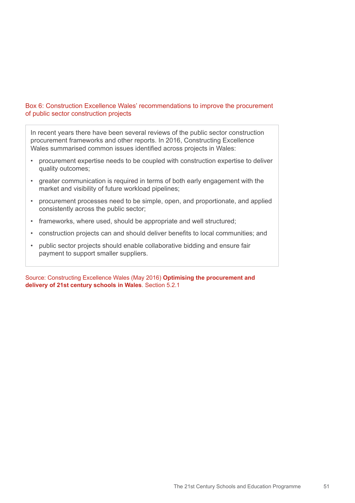#### Box 6: Construction Excellence Wales' recommendations to improve the procurement of public sector construction projects

In recent years there have been several reviews of the public sector construction procurement frameworks and other reports. In 2016, Constructing Excellence Wales summarised common issues identified across projects in Wales:

- procurement expertise needs to be coupled with construction expertise to deliver quality outcomes;
- greater communication is required in terms of both early engagement with the market and visibility of future workload pipelines;
- procurement processes need to be simple, open, and proportionate, and applied consistently across the public sector;
- frameworks, where used, should be appropriate and well structured;
- construction projects can and should deliver benefits to local communities; and
- public sector projects should enable collaborative bidding and ensure fair payment to support smaller suppliers.

Source: Constructing Excellence Wales (May 2016) **Optimising the procurement and delivery of 21st century schools in Wales**. Section 5.2.1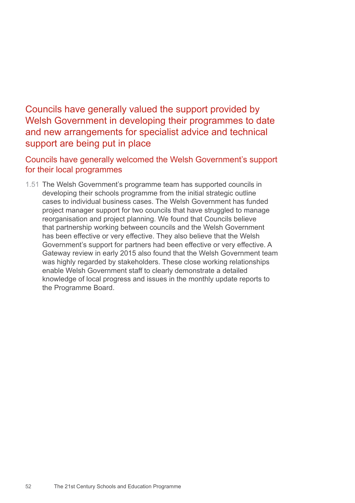Councils have generally valued the support provided by Welsh Government in developing their programmes to date and new arrangements for specialist advice and technical support are being put in place

Councils have generally welcomed the Welsh Government's support for their local programmes

1.51 The Welsh Government's programme team has supported councils in developing their schools programme from the initial strategic outline cases to individual business cases. The Welsh Government has funded project manager support for two councils that have struggled to manage reorganisation and project planning. We found that Councils believe that partnership working between councils and the Welsh Government has been effective or very effective. They also believe that the Welsh Government's support for partners had been effective or very effective. A Gateway review in early 2015 also found that the Welsh Government team was highly regarded by stakeholders. These close working relationships enable Welsh Government staff to clearly demonstrate a detailed knowledge of local progress and issues in the monthly update reports to the Programme Board.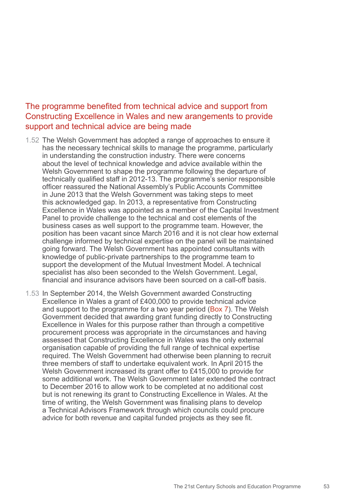### The programme benefited from technical advice and support from Constructing Excellence in Wales and new arangements to provide support and technical advice are being made

- 1.52 The Welsh Government has adopted a range of approaches to ensure it has the necessary technical skills to manage the programme, particularly in understanding the construction industry. There were concerns about the level of technical knowledge and advice available within the Welsh Government to shape the programme following the departure of technically qualified staff in 2012-13. The programme's senior responsible officer reassured the National Assembly's Public Accounts Committee in June 2013 that the Welsh Government was taking steps to meet this acknowledged gap. In 2013, a representative from Constructing Excellence in Wales was appointed as a member of the Capital Investment Panel to provide challenge to the technical and cost elements of the business cases as well support to the programme team. However, the position has been vacant since March 2016 and it is not clear how external challenge informed by technical expertise on the panel will be maintained going forward. The Welsh Government has appointed consultants with knowledge of public-private partnerships to the programme team to support the development of the Mutual Investment Model. A technical specialist has also been seconded to the Welsh Government. Legal, financial and insurance advisors have been sourced on a call-off basis.
- 1.53 In September 2014, the Welsh Government awarded Constructing Excellence in Wales a grant of £400,000 to provide technical advice and support to the programme for a two year period (Box 7). The Welsh Government decided that awarding grant funding directly to Constructing Excellence in Wales for this purpose rather than through a competitive procurement process was appropriate in the circumstances and having assessed that Constructing Excellence in Wales was the only external organisation capable of providing the full range of technical expertise required. The Welsh Government had otherwise been planning to recruit three members of staff to undertake equivalent work. In April 2015 the Welsh Government increased its grant offer to £415,000 to provide for some additional work. The Welsh Government later extended the contract to December 2016 to allow work to be completed at no additional cost but is not renewing its grant to Constructing Excellence in Wales. At the time of writing, the Welsh Government was finalising plans to develop a Technical Advisors Framework through which councils could procure advice for both revenue and capital funded projects as they see fit.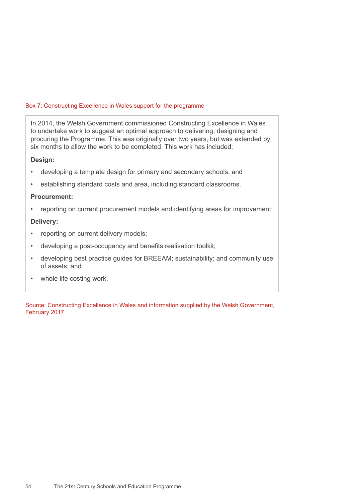#### Box 7: Constructing Excellence in Wales support for the programme

In 2014, the Welsh Government commissioned Constructing Excellence in Wales to undertake work to suggest an optimal approach to delivering, designing and procuring the Programme. This was originally over two years, but was extended by six months to allow the work to be completed. This work has included:

#### **Design:**

- developing a template design for primary and secondary schools; and
- establishing standard costs and area, including standard classrooms.

#### **Procurement:**

reporting on current procurement models and identifying areas for improvement;

#### **Delivery:**

- reporting on current delivery models;
- developing a post-occupancy and benefits realisation toolkit;
- developing best practice guides for BREEAM; sustainability; and community use of assets; and
- whole life costing work.

Source: Constructing Excellence in Wales and information supplied by the Welsh Government, February 2017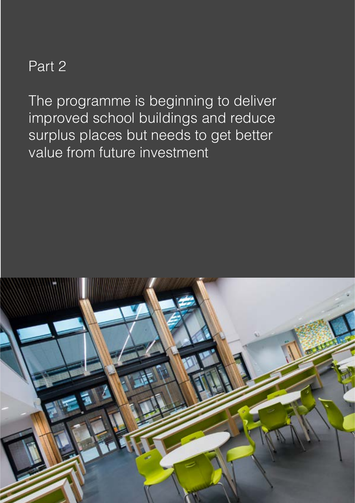# Part 2

The programme is beginning to deliver improved school buildings and reduce surplus places but needs to get better value from future investment

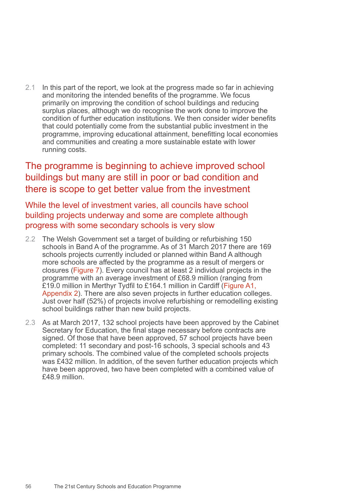2.1 In this part of the report, we look at the progress made so far in achieving and monitoring the intended benefits of the programme. We focus primarily on improving the condition of school buildings and reducing surplus places, although we do recognise the work done to improve the condition of further education institutions. We then consider wider benefits that could potentially come from the substantial public investment in the programme, improving educational attainment, benefitting local economies and communities and creating a more sustainable estate with lower running costs.

# The programme is beginning to achieve improved school buildings but many are still in poor or bad condition and there is scope to get better value from the investment

While the level of investment varies, all councils have school building projects underway and some are complete although progress with some secondary schools is very slow

- 2.2 The Welsh Government set a target of building or refurbishing 150 schools in Band A of the programme. As of 31 March 2017 there are 169 schools projects currently included or planned within Band A although more schools are affected by the programme as a result of mergers or closures (Figure 7). Every council has at least 2 individual projects in the programme with an average investment of £68.9 million (ranging from £19.0 million in Merthyr Tydfil to £164.1 million in Cardiff (Figure A1, Appendix 2). There are also seven projects in further education colleges. Just over half (52%) of projects involve refurbishing or remodelling existing school buildings rather than new build projects.
- 2.3 As at March 2017, 132 school projects have been approved by the Cabinet Secretary for Education, the final stage necessary before contracts are signed. Of those that have been approved, 57 school projects have been completed: 11 secondary and post-16 schools, 3 special schools and 43 primary schools. The combined value of the completed schools projects was £432 million. In addition, of the seven further education projects which have been approved, two have been completed with a combined value of £48.9 million.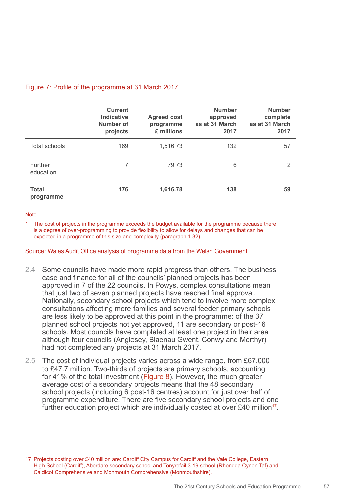### Figure 7: Profile of the programme at 31 March 2017

|                           | <b>Current</b><br><b>Indicative</b><br>Number of<br>projects | <b>Agreed cost</b><br>programme<br>£ millions | <b>Number</b><br>approved<br>as at 31 March<br>2017 | <b>Number</b><br>complete<br>as at 31 March<br>2017 |
|---------------------------|--------------------------------------------------------------|-----------------------------------------------|-----------------------------------------------------|-----------------------------------------------------|
| Total schools             | 169                                                          | 1,516.73                                      | 132                                                 | 57                                                  |
| Further<br>education      | 7                                                            | 79.73                                         | 6                                                   | 2                                                   |
| <b>Total</b><br>programme | 176                                                          | 1,616.78                                      | 138                                                 | 59                                                  |

#### **Note**

1 The cost of projects in the programme exceeds the budget available for the programme because there is a degree of over-programming to provide flexibility to allow for delays and changes that can be expected in a programme of this size and complexity (paragraph 1.32)

Source: Wales Audit Office analysis of programme data from the Welsh Government

- 2.4 Some councils have made more rapid progress than others. The business case and finance for all of the councils' planned projects has been approved in 7 of the 22 councils. In Powys, complex consultations mean that just two of seven planned projects have reached final approval. Nationally, secondary school projects which tend to involve more complex consultations affecting more families and several feeder primary schools are less likely to be approved at this point in the programme: of the 37 planned school projects not yet approved, 11 are secondary or post-16 schools. Most councils have completed at least one project in their area although four councils (Anglesey, Blaenau Gwent, Conwy and Merthyr) had not completed any projects at 31 March 2017.
- 2.5 The cost of individual projects varies across a wide range, from £67,000 to £47.7 million. Two-thirds of projects are primary schools, accounting for 41% of the total investment (Figure 8). However, the much greater average cost of a secondary projects means that the 48 secondary school projects (including 6 post-16 centres) account for just over half of programme expenditure. There are five secondary school projects and one further education project which are individually costed at over £40 million<sup>17</sup>.

<sup>17</sup> Projects costing over £40 million are: Cardiff City Campus for Cardiff and the Vale College, Eastern High School (Cardiff), Aberdare secondary school and Tonyrefail 3-19 school (Rhondda Cynon Taf) and Caldicot Comprehensive and Monmouth Comprehensive (Monmouthshire).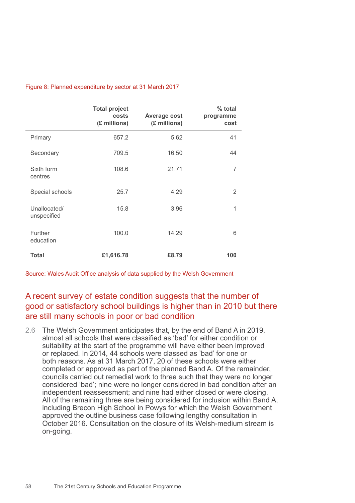#### Figure 8: Planned expenditure by sector at 31 March 2017

|                             | <b>Total project</b><br>costs<br>(£ millions) | <b>Average cost</b><br>(£ millions) | % total<br>programme<br>cost |
|-----------------------------|-----------------------------------------------|-------------------------------------|------------------------------|
| Primary                     | 657.2                                         | 5.62                                | 41                           |
| Secondary                   | 709.5                                         | 16.50                               | 44                           |
| Sixth form<br>centres       | 108.6                                         | 21.71                               | 7                            |
| Special schools             | 25.7                                          | 4.29                                | 2                            |
| Unallocated/<br>unspecified | 15.8                                          | 3.96                                | 1                            |
| <b>Further</b><br>education | 100.0                                         | 14.29                               | 6                            |
| <b>Total</b>                | £1,616.78                                     | £8.79                               | 100                          |

Source: Wales Audit Office analysis of data supplied by the Welsh Government

### A recent survey of estate condition suggests that the number of good or satisfactory school buildings is higher than in 2010 but there are still many schools in poor or bad condition

2.6 The Welsh Government anticipates that, by the end of Band A in 2019, almost all schools that were classified as 'bad' for either condition or suitability at the start of the programme will have either been improved or replaced. In 2014, 44 schools were classed as 'bad' for one or both reasons. As at 31 March 2017, 20 of these schools were either completed or approved as part of the planned Band A. Of the remainder, councils carried out remedial work to three such that they were no longer considered 'bad'; nine were no longer considered in bad condition after an independent reassessment; and nine had either closed or were closing. All of the remaining three are being considered for inclusion within Band A, including Brecon High School in Powys for which the Welsh Government approved the outline business case following lengthy consultation in October 2016. Consultation on the closure of its Welsh-medium stream is on-going.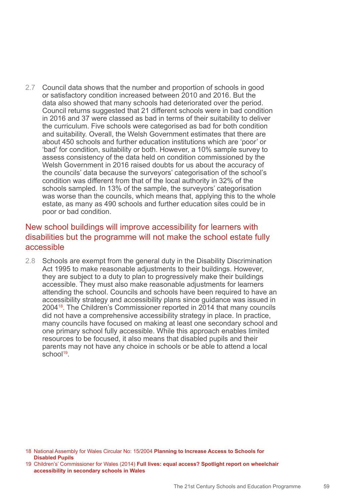2.7 Council data shows that the number and proportion of schools in good or satisfactory condition increased between 2010 and 2016. But the data also showed that many schools had deteriorated over the period. Council returns suggested that 21 different schools were in bad condition in 2016 and 37 were classed as bad in terms of their suitability to deliver the curriculum. Five schools were categorised as bad for both condition and suitability. Overall, the Welsh Government estimates that there are about 450 schools and further education institutions which are 'poor' or 'bad' for condition, suitability or both. However, a 10% sample survey to assess consistency of the data held on condition commissioned by the Welsh Government in 2016 raised doubts for us about the accuracy of the councils' data because the surveyors' categorisation of the school's condition was different from that of the local authority in 32% of the schools sampled. In 13% of the sample, the surveyors' categorisation was worse than the councils, which means that, applying this to the whole estate, as many as 490 schools and further education sites could be in poor or bad condition.

### New school buildings will improve accessibility for learners with disabilities but the programme will not make the school estate fully accessible

2.8 Schools are exempt from the general duty in the Disability Discrimination Act 1995 to make reasonable adjustments to their buildings. However, they are subject to a duty to plan to progressively make their buildings accessible. They must also make reasonable adjustments for learners attending the school. Councils and schools have been required to have an accessibility strategy and accessibility plans since guidance was issued in 200418. The Children's Commissioner reported in 2014 that many councils did not have a comprehensive accessibility strategy in place. In practice, many councils have focused on making at least one secondary school and one primary school fully accessible. While this approach enables limited resources to be focused, it also means that disabled pupils and their parents may not have any choice in schools or be able to attend a local  $school<sup>19</sup>$ .

<sup>18</sup> National Assembly for Wales Circular No: 15/2004 **Planning to Increase Access to Schools for Disabled Pupils**

<sup>19</sup> Children's' Commissioner for Wales (2014) **Full lives: equal access? Spotlight report on wheelchair accessibility in secondary schools in Wales**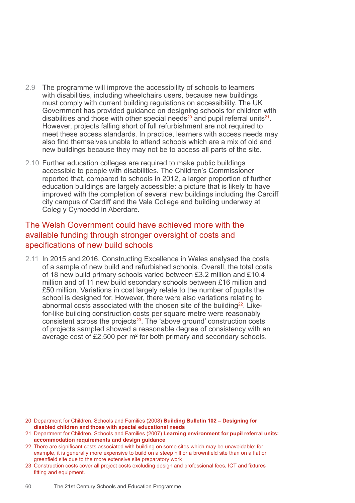- 2.9 The programme will improve the accessibility of schools to learners with disabilities, including wheelchairs users, because new buildings must comply with current building regulations on accessibility. The UK Government has provided guidance on designing schools for children with disabilities and those with other special needs<sup>20</sup> and pupil referral units<sup>21</sup>. However, projects falling short of full refurbishment are not required to meet these access standards. In practice, learners with access needs may also find themselves unable to attend schools which are a mix of old and new buildings because they may not be to access all parts of the site.
- 2.10 Further education colleges are required to make public buildings accessible to people with disabilities. The Children's Commissioner reported that, compared to schools in 2012, a larger proportion of further education buildings are largely accessible: a picture that is likely to have improved with the completion of several new buildings including the Cardiff city campus of Cardiff and the Vale College and building underway at Coleg y Cymoedd in Aberdare.

### The Welsh Government could have achieved more with the available funding through stronger oversight of costs and specifications of new build schools

2.11 In 2015 and 2016, Constructing Excellence in Wales analysed the costs of a sample of new build and refurbished schools. Overall, the total costs of 18 new build primary schools varied between £3.2 million and £10.4 million and of 11 new build secondary schools between £16 million and £50 million. Variations in cost largely relate to the number of pupils the school is designed for. However, there were also variations relating to abnormal costs associated with the chosen site of the building<sup>22</sup>. Likefor-like building construction costs per square metre were reasonably consistent across the projects<sup>23</sup>. The 'above ground' construction costs of projects sampled showed a reasonable degree of consistency with an average cost of  $£2,500$  per  $m<sup>2</sup>$  for both primary and secondary schools.

- 20 Department for Children, Schools and Families (2008) **Building Bulletin 102 Designing for disabled children and those with special educational needs**
- 21 Department for Children, Schools and Families (2007) **Learning environment for pupil referral units: accommodation requirements and design guidance**
- 22 There are significant costs associated with building on some sites which may be unavoidable: for example, it is generally more expensive to build on a steep hill or a brownfield site than on a flat or greenfield site due to the more extensive site preparatory work
- 23 Construction costs cover all project costs excluding design and professional fees, ICT and fixtures fitting and equipment.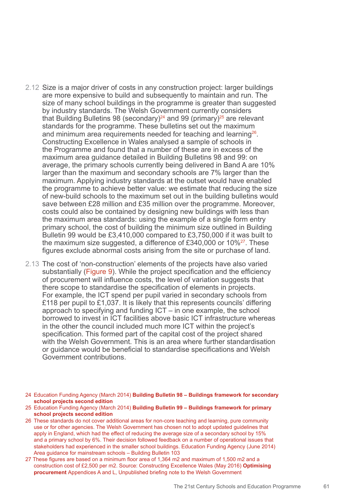- 2.12 Size is a major driver of costs in any construction project: larger buildings are more expensive to build and subsequently to maintain and run. The size of many school buildings in the programme is greater than suggested by industry standards. The Welsh Government currently considers that Building Bulletins 98 (secondary)<sup>24</sup> and 99 (primary)<sup>25</sup> are relevant standards for the programme. These bulletins set out the maximum and minimum area requirements needed for teaching and learning<sup>26</sup>. Constructing Excellence in Wales analysed a sample of schools in the Programme and found that a number of these are in excess of the maximum area guidance detailed in Building Bulletins 98 and 99: on average, the primary schools currently being delivered in Band A are 10% larger than the maximum and secondary schools are 7% larger than the maximum. Applying industry standards at the outset would have enabled the programme to achieve better value: we estimate that reducing the size of new-build schools to the maximum set out in the building bulletins would save between £28 million and £35 million over the programme. Moreover, costs could also be contained by designing new buildings with less than the maximum area standards: using the example of a single form entry primary school, the cost of building the minimum size outlined in Building Bulletin 99 would be £3,410,000 compared to £3,750,000 if it was built to the maximum size suggested, a difference of £340,000 or  $10\%^{27}$ . These figures exclude abnormal costs arising from the site or purchase of land.
- 2.13 The cost of 'non-construction' elements of the projects have also varied substantially (Figure 9). While the project specification and the efficiency of procurement will influence costs, the level of variation suggests that there scope to standardise the specification of elements in projects. For example, the ICT spend per pupil varied in secondary schools from £118 per pupil to £1,037. It is likely that this represents councils' differing approach to specifying and funding ICT – in one example, the school borrowed to invest in ICT facilities above basic ICT infrastructure whereas in the other the council included much more ICT within the project's specification. This formed part of the capital cost of the project shared with the Welsh Government. This is an area where further standardisation or guidance would be beneficial to standardise specifications and Welsh Government contributions.
- 24 Education Funding Agency (March 2014) **Building Bulletin 98 Buildings framework for secondary school projects second edition**
- 25 Education Funding Agency (March 2014) **Building Bulletin 99 – Buildings framework for primary school projects second edition**
- 26 These standards do not cover additional areas for non-core teaching and learning, pure community use or for other agencies. The Welsh Government has chosen not to adopt updated guidelines that apply in England, which had the effect of reducing the average size of a secondary school by 15% and a primary school by 6%. Their decision followed feedback on a number of operational issues that stakeholders had experienced in the smaller school buildings. Education Funding Agency (June 2014) Area guidance for mainstream schools – Building Bulletin 103
- 27 These figures are based on a minimum floor area of 1,364 m2 and maximum of 1,500 m2 and a construction cost of £2,500 per m2. Source: Constructing Excellence Wales (May 2016) **Optimising procurement** Appendices A and L, Unpublished briefing note to the Welsh Government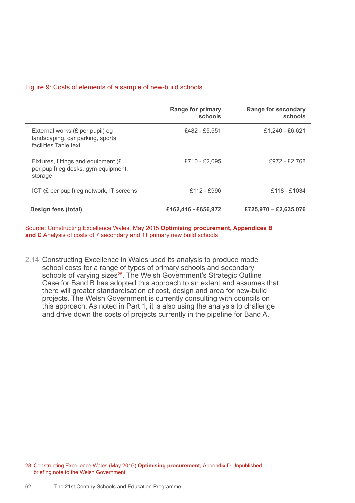#### Figure 9: Costs of elements of a sample of new-build schools

|                                                                                              | <b>Range for primary</b><br>schools | <b>Range for secondary</b><br>schools |
|----------------------------------------------------------------------------------------------|-------------------------------------|---------------------------------------|
| External works (£ per pupil) eg<br>landscaping, car parking, sports<br>facilities Table text | £482 - £5,551                       | £1,240 - £6,621                       |
| Fixtures, fittings and equipment (£)<br>per pupil) eg desks, gym equipment,<br>storage       | £710 - £2.095                       | £972 - £2.768                         |
| ICT $(E$ per pupil) eg network, IT screens                                                   | £112 - £996                         | £118 - £1034                          |
| Design fees (total)                                                                          | £162,416 - £656,972                 | £725,970 - £2,635,076                 |

Source: Constructing Excellence Wales, May 2015 **Optimising procurement, Appendices B and C** Analysis of costs of 7 secondary and 11 primary new build schools

2.14 Constructing Excellence in Wales used its analysis to produce model school costs for a range of types of primary schools and secondary schools of varying sizes<sup>28</sup>. The Welsh Government's Strategic Outline Case for Band B has adopted this approach to an extent and assumes that there will greater standardisation of cost, design and area for new-build projects. The Welsh Government is currently consulting with councils on this approach. As noted in Part 1, it is also using the analysis to challenge and drive down the costs of projects currently in the pipeline for Band A.

28 Constructing Excellence Wales (May 2016) **Optimising procurement,** Appendix D Unpublished briefing note to the Welsh Government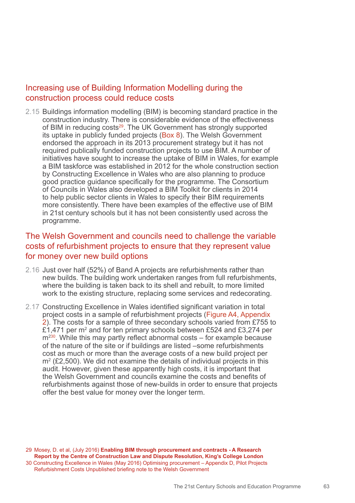### Increasing use of Building Information Modelling during the construction process could reduce costs

2.15 Buildings information modelling (BIM) is becoming standard practice in the construction industry. There is considerable evidence of the effectiveness of BIM in reducing costs<sup>29</sup>. The UK Government has strongly supported its uptake in publicly funded projects (Box 8). The Welsh Government endorsed the approach in its 2013 procurement strategy but it has not required publically funded construction projects to use BIM. A number of initiatives have sought to increase the uptake of BIM in Wales, for example a BIM taskforce was established in 2012 for the whole construction section by Constructing Excellence in Wales who are also planning to produce good practice guidance specifically for the programme. The Consortium of Councils in Wales also developed a BIM Toolkit for clients in 2014 to help public sector clients in Wales to specify their BIM requirements more consistently. There have been examples of the effective use of BIM in 21st century schools but it has not been consistently used across the programme.

### The Welsh Government and councils need to challenge the variable costs of refurbishment projects to ensure that they represent value for money over new build options

- 2.16 Just over half (52%) of Band A projects are refurbishments rather than new builds. The building work undertaken ranges from full refurbishments, where the building is taken back to its shell and rebuilt, to more limited work to the existing structure, replacing some services and redecorating.
- 2.17 Constructing Excellence in Wales identified significant variation in total project costs in a sample of refurbishment projects (Figure A4, Appendix 2). The costs for a sample of three secondary schools varied from £755 to £1,471 per m<sup>2</sup> and for ten primary schools between £524 and £3,274 per  $m<sup>230</sup>$ . While this may partly reflect abnormal costs – for example because of the nature of the site or if buildings are listed –some refurbishments cost as much or more than the average costs of a new build project per  $m<sup>2</sup>$  (£2,500). We did not examine the details of individual projects in this audit. However, given these apparently high costs, it is important that the Welsh Government and councils examine the costs and benefits of refurbishments against those of new-builds in order to ensure that projects offer the best value for money over the longer term.

29 Mosey, D. et al, (July 2016) **Enabling BIM through procurement and contracts - A Research Report by the Centre of Construction Law and Dispute Resolution, King's College London** 30 Constructing Excellence in Wales (May 2016) Optimising procurement – Appendix D, Pilot Projects Refurbishment Costs Unpublished briefing note to the Welsh Government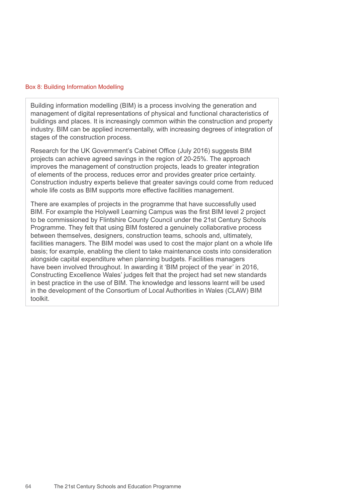#### Box 8: Building Information Modelling

Building information modelling (BIM) is a process involving the generation and management of digital representations of physical and functional characteristics of buildings and places. It is increasingly common within the construction and property industry. BIM can be applied incrementally, with increasing degrees of integration of stages of the construction process.

Research for the UK Government's Cabinet Office (July 2016) suggests BIM projects can achieve agreed savings in the region of 20-25%. The approach improves the management of construction projects, leads to greater integration of elements of the process, reduces error and provides greater price certainty. Construction industry experts believe that greater savings could come from reduced whole life costs as BIM supports more effective facilities management.

There are examples of projects in the programme that have successfully used BIM. For example the Holywell Learning Campus was the first BIM level 2 project to be commissioned by Flintshire County Council under the 21st Century Schools Programme. They felt that using BIM fostered a genuinely collaborative process between themselves, designers, construction teams, schools and, ultimately, facilities managers. The BIM model was used to cost the major plant on a whole life basis; for example, enabling the client to take maintenance costs into consideration alongside capital expenditure when planning budgets. Facilities managers have been involved throughout. In awarding it 'BIM project of the year' in 2016, Constructing Excellence Wales' judges felt that the project had set new standards in best practice in the use of BIM. The knowledge and lessons learnt will be used in the development of the Consortium of Local Authorities in Wales (CLAW) BIM toolkit.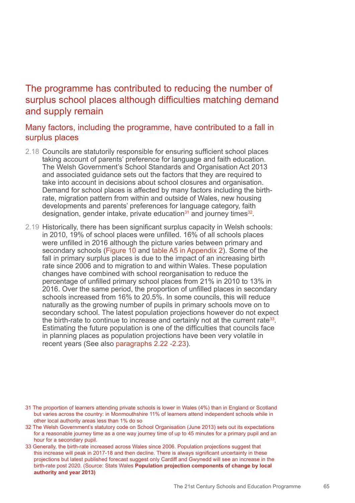# The programme has contributed to reducing the number of surplus school places although difficulties matching demand and supply remain

### Many factors, including the programme, have contributed to a fall in surplus places

- 2.18 Councils are statutorily responsible for ensuring sufficient school places taking account of parents' preference for language and faith education. The Welsh Government's School Standards and Organisation Act 2013 and associated guidance sets out the factors that they are required to take into account in decisions about school closures and organisation. Demand for school places is affected by many factors including the birthrate, migration pattern from within and outside of Wales, new housing developments and parents' preferences for language category, faith designation, gender intake, private education<sup>31</sup> and journey times<sup>32</sup>.
- 2.19 Historically, there has been significant surplus capacity in Welsh schools: in 2010, 19% of school places were unfilled. 16% of all schools places were unfilled in 2016 although the picture varies between primary and secondary schools (Figure 10 and table A5 in Appendix 2). Some of the fall in primary surplus places is due to the impact of an increasing birth rate since 2006 and to migration to and within Wales. These population changes have combined with school reorganisation to reduce the percentage of unfilled primary school places from 21% in 2010 to 13% in 2016. Over the same period, the proportion of unfilled places in secondary schools increased from 16% to 20.5%. In some councils, this will reduce naturally as the growing number of pupils in primary schools move on to secondary school. The latest population projections however do not expect the birth-rate to continue to increase and certainly not at the current rate<sup>33</sup>. Estimating the future population is one of the difficulties that councils face in planning places as population projections have been very volatile in recent years (See also paragraphs 2.22 -2.23).

- 31 The proportion of learners attending private schools is lower in Wales (4%) than in England or Scotland but varies across the country: in Monmouthshire 11% of learners attend independent schools while in other local authority areas less than 1% do so
- 32 The Welsh Government's statutory code on School Organisation (June 2013) sets out its expectations for a reasonable journey time as a one way journey time of up to 45 minutes for a primary pupil and an hour for a secondary pupil.
- 33 Generally, the birth-rate increased across Wales since 2006. Population projections suggest that this increase will peak in 2017-18 and then decline. There is always significant uncertainty in these projections but latest published forecast suggest only Cardiff and Gwynedd will see an increase in the birth-rate post 2020. (Source: Stats Wales **Population projection components of change by local authority and year 2013)**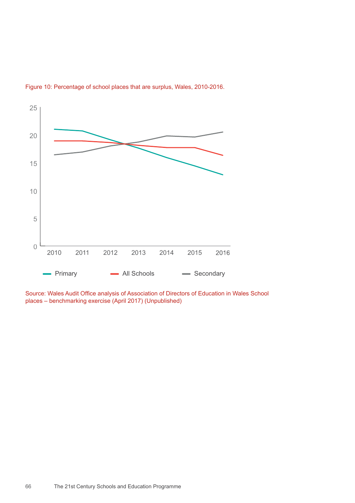

Figure 10: Percentage of school places that are surplus, Wales, 2010-2016.

Source: Wales Audit Office analysis of Association of Directors of Education in Wales School places – benchmarking exercise (April 2017) (Unpublished)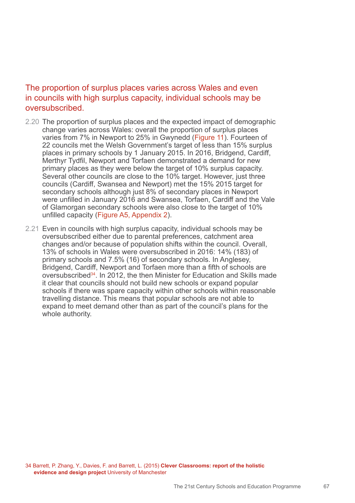### The proportion of surplus places varies across Wales and even in councils with high surplus capacity, individual schools may be oversubscribed.

- 2.20 The proportion of surplus places and the expected impact of demographic change varies across Wales: overall the proportion of surplus places varies from 7% in Newport to 25% in Gwynedd (Figure 11). Fourteen of 22 councils met the Welsh Government's target of less than 15% surplus places in primary schools by 1 January 2015. In 2016, Bridgend, Cardiff, Merthyr Tydfil, Newport and Torfaen demonstrated a demand for new primary places as they were below the target of 10% surplus capacity. Several other councils are close to the 10% target. However, just three councils (Cardiff, Swansea and Newport) met the 15% 2015 target for secondary schools although just 8% of secondary places in Newport were unfilled in January 2016 and Swansea, Torfaen, Cardiff and the Vale of Glamorgan secondary schools were also close to the target of 10% unfilled capacity (Figure A5, Appendix 2).
- 2.21 Even in councils with high surplus capacity, individual schools may be oversubscribed either due to parental preferences, catchment area changes and/or because of population shifts within the council. Overall, 13% of schools in Wales were oversubscribed in 2016: 14% (183) of primary schools and 7.5% (16) of secondary schools. In Anglesey, Bridgend, Cardiff, Newport and Torfaen more than a fifth of schools are oversubscribed<sup>34</sup>. In 2012, the then Minister for Education and Skills made it clear that councils should not build new schools or expand popular schools if there was spare capacity within other schools within reasonable travelling distance. This means that popular schools are not able to expand to meet demand other than as part of the council's plans for the whole authority.

34 Barrett, P. Zhang, Y., Davies, F. and Barrett, L. (2015) **Clever Classrooms: report of the holistic evidence and design project** University of Manchester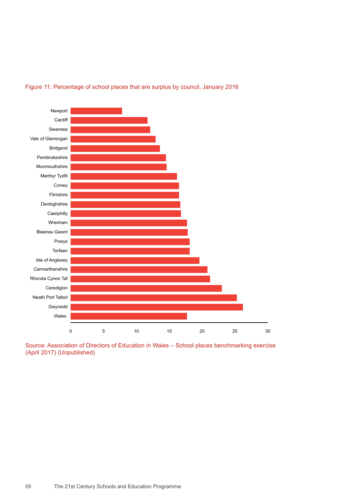

#### Figure 11: Percentage of school places that are surplus by council, January 2016

Source: Association of Directors of Education in Wales – School places benchmarking exercise (April 2017) (Unpublished)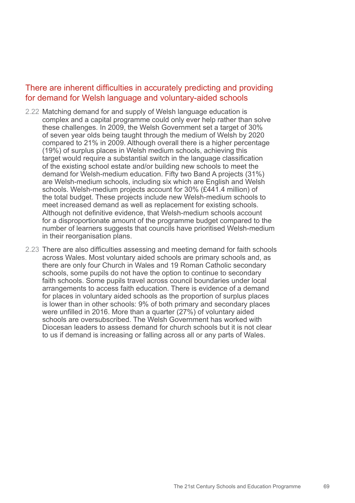### There are inherent difficulties in accurately predicting and providing for demand for Welsh language and voluntary-aided schools

- 2.22 Matching demand for and supply of Welsh language education is complex and a capital programme could only ever help rather than solve these challenges. In 2009, the Welsh Government set a target of 30% of seven year olds being taught through the medium of Welsh by 2020 compared to 21% in 2009. Although overall there is a higher percentage (19%) of surplus places in Welsh medium schools, achieving this target would require a substantial switch in the language classification of the existing school estate and/or building new schools to meet the demand for Welsh-medium education. Fifty two Band A projects (31%) are Welsh-medium schools, including six which are English and Welsh schools. Welsh-medium projects account for 30% (£441.4 million) of the total budget. These projects include new Welsh-medium schools to meet increased demand as well as replacement for existing schools. Although not definitive evidence, that Welsh-medium schools account for a disproportionate amount of the programme budget compared to the number of learners suggests that councils have prioritised Welsh-medium in their reorganisation plans.
- 2.23 There are also difficulties assessing and meeting demand for faith schools across Wales. Most voluntary aided schools are primary schools and, as there are only four Church in Wales and 19 Roman Catholic secondary schools, some pupils do not have the option to continue to secondary faith schools. Some pupils travel across council boundaries under local arrangements to access faith education. There is evidence of a demand for places in voluntary aided schools as the proportion of surplus places is lower than in other schools: 9% of both primary and secondary places were unfilled in 2016. More than a quarter (27%) of voluntary aided schools are oversubscribed. The Welsh Government has worked with Diocesan leaders to assess demand for church schools but it is not clear to us if demand is increasing or falling across all or any parts of Wales.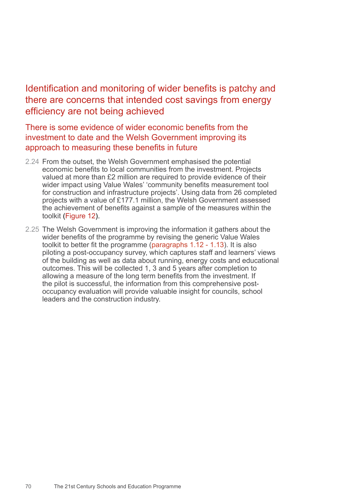# Identification and monitoring of wider benefits is patchy and there are concerns that intended cost savings from energy efficiency are not being achieved

There is some evidence of wider economic benefits from the investment to date and the Welsh Government improving its approach to measuring these benefits in future

- 2.24 From the outset, the Welsh Government emphasised the potential economic benefits to local communities from the investment. Projects valued at more than £2 million are required to provide evidence of their wider impact using Value Wales' 'community benefits measurement tool for construction and infrastructure projects'. Using data from 26 completed projects with a value of £177.1 million, the Welsh Government assessed the achievement of benefits against a sample of the measures within the toolkit (Figure 12).
- 2.25 The Welsh Government is improving the information it gathers about the wider benefits of the programme by revising the generic Value Wales toolkit to better fit the programme (paragraphs 1.12 - 1.13). It is also piloting a post-occupancy survey, which captures staff and learners' views of the building as well as data about running, energy costs and educational outcomes. This will be collected 1, 3 and 5 years after completion to allowing a measure of the long term benefits from the investment. If the pilot is successful, the information from this comprehensive postoccupancy evaluation will provide valuable insight for councils, school leaders and the construction industry.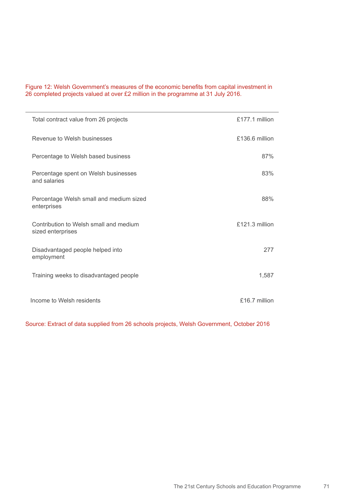#### Figure 12: Welsh Government's measures of the economic benefits from capital investment in 26 completed projects valued at over £2 million in the programme at 31 July 2016.

| Total contract value from 26 projects                       | £177.1 million   |
|-------------------------------------------------------------|------------------|
| Revenue to Welsh businesses                                 | £136.6 million   |
| Percentage to Welsh based business                          | 87%              |
| Percentage spent on Welsh businesses<br>and salaries        | 83%              |
| Percentage Welsh small and medium sized<br>enterprises      | 88%              |
| Contribution to Welsh small and medium<br>sized enterprises | $£121.3$ million |
| Disadvantaged people helped into<br>employment              | 277              |
| Training weeks to disadvantaged people                      | 1,587            |
| Income to Welsh residents                                   | £16.7 million    |

Source: Extract of data supplied from 26 schools projects, Welsh Government, October 2016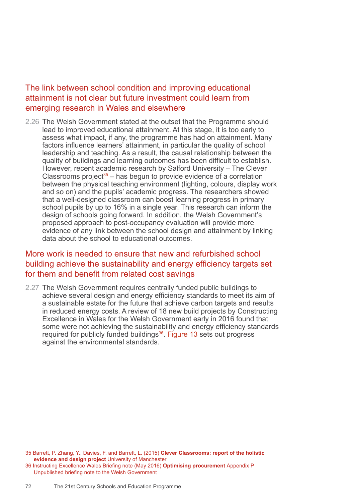### The link between school condition and improving educational attainment is not clear but future investment could learn from emerging research in Wales and elsewhere

2.26 The Welsh Government stated at the outset that the Programme should lead to improved educational attainment. At this stage, it is too early to assess what impact, if any, the programme has had on attainment. Many factors influence learners' attainment, in particular the quality of school leadership and teaching. As a result, the causal relationship between the quality of buildings and learning outcomes has been difficult to establish. However, recent academic research by Salford University – The Clever Classrooms project<sup>35</sup> – has begun to provide evidence of a correlation between the physical teaching environment (lighting, colours, display work and so on) and the pupils' academic progress. The researchers showed that a well-designed classroom can boost learning progress in primary school pupils by up to 16% in a single year. This research can inform the design of schools going forward. In addition, the Welsh Government's proposed approach to post-occupancy evaluation will provide more evidence of any link between the school design and attainment by linking data about the school to educational outcomes.

### More work is needed to ensure that new and refurbished school building achieve the sustainability and energy efficiency targets set for them and benefit from related cost savings

2.27 The Welsh Government requires centrally funded public buildings to achieve several design and energy efficiency standards to meet its aim of a sustainable estate for the future that achieve carbon targets and results in reduced energy costs. A review of 18 new build projects by Constructing Excellence in Wales for the Welsh Government early in 2016 found that some were not achieving the sustainability and energy efficiency standards required for publicly funded buildings<sup>36</sup>. Figure 13 sets out progress against the environmental standards.

<sup>35</sup> Barrett, P. Zhang, Y., Davies, F. and Barrett, L. (2015) **Clever Classrooms: report of the holistic evidence and design project** University of Manchester

<sup>36</sup> Instructing Excellence Wales Briefing note (May 2016) **Optimising procurement** Appendix P Unpublished briefing note to the Welsh Government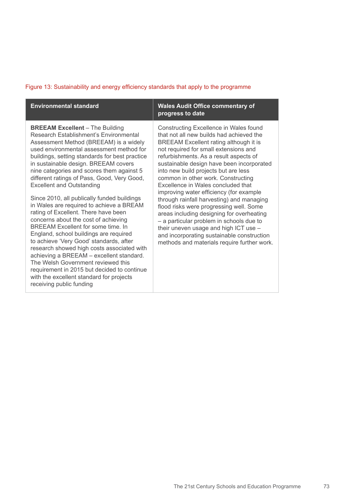## Figure 13: Sustainability and energy efficiency standards that apply to the programme

| <b>Environmental standard</b>                                                                                                                                                                                                                                                                                                                                                                                                                                                                                                                                                                                                                                                                                                                                                                                                                                                                                                                                 | <b>Wales Audit Office commentary of</b><br>progress to date                                                                                                                                                                                                                                                                                                                                                                                                                                                                                                                                                                                                                                                                                        |
|---------------------------------------------------------------------------------------------------------------------------------------------------------------------------------------------------------------------------------------------------------------------------------------------------------------------------------------------------------------------------------------------------------------------------------------------------------------------------------------------------------------------------------------------------------------------------------------------------------------------------------------------------------------------------------------------------------------------------------------------------------------------------------------------------------------------------------------------------------------------------------------------------------------------------------------------------------------|----------------------------------------------------------------------------------------------------------------------------------------------------------------------------------------------------------------------------------------------------------------------------------------------------------------------------------------------------------------------------------------------------------------------------------------------------------------------------------------------------------------------------------------------------------------------------------------------------------------------------------------------------------------------------------------------------------------------------------------------------|
| <b>BREEAM Excellent - The Building</b><br>Research Establishment's Environmental<br>Assessment Method (BREEAM) is a widely<br>used environmental assessment method for<br>buildings, setting standards for best practice<br>in sustainable design. BREEAM covers<br>nine categories and scores them against 5<br>different ratings of Pass, Good, Very Good,<br><b>Excellent and Outstanding</b><br>Since 2010, all publically funded buildings<br>in Wales are required to achieve a BREAM<br>rating of Excellent. There have been<br>concerns about the cost of achieving<br>BREEAM Excellent for some time. In<br>England, school buildings are required<br>to achieve 'Very Good' standards, after<br>research showed high costs associated with<br>achieving a BREEAM - excellent standard.<br>The Welsh Government reviewed this<br>requirement in 2015 but decided to continue<br>with the excellent standard for projects<br>receiving public funding | Constructing Excellence in Wales found<br>that not all new builds had achieved the<br>BREEAM Excellent rating although it is<br>not required for small extensions and<br>refurbishments. As a result aspects of<br>sustainable design have been incorporated<br>into new build projects but are less<br>common in other work. Constructing<br>Excellence in Wales concluded that<br>improving water efficiency (for example<br>through rainfall harvesting) and managing<br>flood risks were progressing well. Some<br>areas including designing for overheating<br>- a particular problem in schools due to<br>their uneven usage and high ICT use -<br>and incorporating sustainable construction<br>methods and materials require further work. |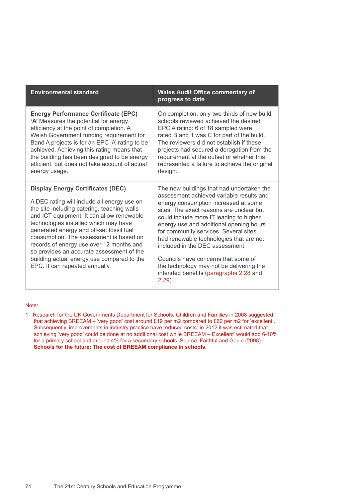| <b>Environmental standard</b>                                                                                                                                                                                                                                                                                                                                                                                                                                                                | <b>Wales Audit Office commentary of</b><br>progress to date                                                                                                                                                                                                                                                                                                                                                                                                                                                                      |
|----------------------------------------------------------------------------------------------------------------------------------------------------------------------------------------------------------------------------------------------------------------------------------------------------------------------------------------------------------------------------------------------------------------------------------------------------------------------------------------------|----------------------------------------------------------------------------------------------------------------------------------------------------------------------------------------------------------------------------------------------------------------------------------------------------------------------------------------------------------------------------------------------------------------------------------------------------------------------------------------------------------------------------------|
| <b>Energy Performance Certificate (EPC)</b><br>'A' Measures the potential for energy<br>efficiency at the point of completion. A<br>Welsh Government funding requirement for<br>Band A projects is for an EPC 'A' rating to be<br>achieved. Achieving this rating means that<br>the building has been designed to be energy<br>efficient, but does not take account of actual<br>energy usage.                                                                                               | On completion, only two thirds of new build<br>schools reviewed achieved the desired<br>EPC A rating: 6 of 18 sampled were<br>rated B and 1 was C for part of the build.<br>The reviewers did not establish if these<br>projects had secured a derogation from the<br>requirement at the outset or whether this<br>represented a failure to achieve the original<br>design.                                                                                                                                                      |
| <b>Display Energy Certificates (DEC)</b><br>A DEC rating will include all energy use on<br>the site including catering, teaching walls<br>and ICT equipment. It can allow renewable<br>technologies installed which may have<br>generated energy and off-set fossil fuel<br>consumption. The assessment is based on<br>records of energy use over 12 months and<br>so provides an accurate assessment of the<br>building actual energy use compared to the<br>EPC. It can repeated annually. | The new buildings that had undertaken the<br>assessment achieved variable results and<br>energy consumption increased at some<br>sites. The exact reasons are unclear but<br>could include more IT leading to higher<br>energy use and additional opening hours<br>for community services. Several sites<br>had renewable technologies that are not<br>included in the DEC assessment.<br>Councils have concerns that some of<br>the technology may not be delivering the<br>intended benefits (paragraphs 2.28 and<br>$2.29$ ). |

#### Note:

1 Research for the UK Governments Department for Schools, Children and Families in 2008 suggested that achieving BREEAM – 'very good' cost around £19 per m2 compared to £60 per m2 for 'excellent'. Subsequently, improvements in industry practice have reduced costs: in 2012 it was estimated that achieving 'very good' could be done at no additional cost while BREEAM – Excellent' would add 6-10% for a primary school and around 4% for a secondary schools. Source: Faithful and Gould (2008) **Schools for the future: The cost of BREEAM compliance in schools.**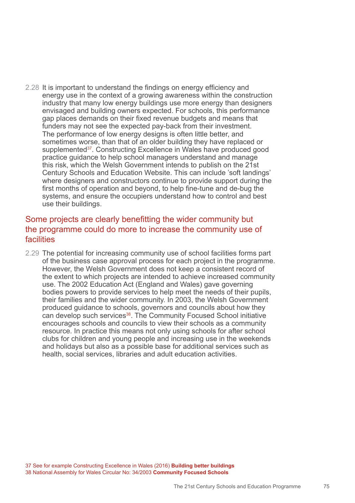2.28 It is important to understand the findings on energy efficiency and energy use in the context of a growing awareness within the construction industry that many low energy buildings use more energy than designers envisaged and building owners expected. For schools, this performance gap places demands on their fixed revenue budgets and means that funders may not see the expected pay-back from their investment. The performance of low energy designs is often little better, and sometimes worse, than that of an older building they have replaced or supplemented<sup>37</sup>. Constructing Excellence in Wales have produced good practice guidance to help school managers understand and manage this risk, which the Welsh Government intends to publish on the 21st Century Schools and Education Website. This can include 'soft landings' where designers and constructors continue to provide support during the first months of operation and beyond, to help fine-tune and de-bug the systems, and ensure the occupiers understand how to control and best use their buildings.

## Some projects are clearly benefitting the wider community but the programme could do more to increase the community use of facilities

2.29 The potential for increasing community use of school facilities forms part of the business case approval process for each project in the programme. However, the Welsh Government does not keep a consistent record of the extent to which projects are intended to achieve increased community use. The 2002 Education Act (England and Wales) gave governing bodies powers to provide services to help meet the needs of their pupils, their families and the wider community. In 2003, the Welsh Government produced guidance to schools, governors and councils about how they can develop such services<sup>38</sup>. The Community Focused School initiative encourages schools and councils to view their schools as a community resource. In practice this means not only using schools for after school clubs for children and young people and increasing use in the weekends and holidays but also as a possible base for additional services such as health, social services, libraries and adult education activities.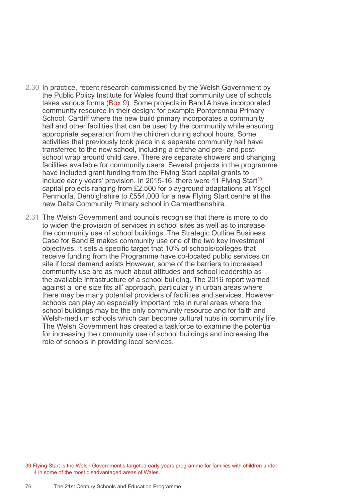- 2.30 In practice, recent research commissioned by the Welsh Government by the Public Policy Institute for Wales found that community use of schools takes various forms (Box 9). Some projects in Band A have incorporated community resource in their design: for example Pontprennau Primary School, Cardiff where the new build primary incorporates a community hall and other facilities that can be used by the community while ensuring appropriate separation from the children during school hours. Some activities that previously took place in a separate community hall have transferred to the new school, including a crèche and pre- and postschool wrap around child care. There are separate showers and changing facilities available for community users. Several projects in the programme have included grant funding from the Flying Start capital grants to include early years' provision. In 2015-16, there were 11 Flying Start<sup>39</sup> capital projects ranging from £2,500 for playground adaptations at Ysgol Penmorfa, Denbighshire to £554,000 for a new Flying Start centre at the new Delta Community Primary school in Carmarthenshire.
- 2.31 The Welsh Government and councils recognise that there is more to do to widen the provision of services in school sites as well as to increase the community use of school buildings. The Strategic Outline Business Case for Band B makes community use one of the two key investment objectives. It sets a specific target that 10% of schools/colleges that receive funding from the Programme have co-located public services on site if local demand exists However, some of the barriers to increased community use are as much about attitudes and school leadership as the available infrastructure of a school building. The 2016 report warned against a 'one size fits all' approach, particularly in urban areas where there may be many potential providers of facilities and services. However schools can play an especially important role in rural areas where the school buildings may be the only community resource and for faith and Welsh-medium schools which can become cultural hubs in community life. The Welsh Government has created a taskforce to examine the potential for increasing the community use of school buildings and increasing the role of schools in providing local services.

39 Flying Start is the Welsh Government's targeted early years programme for families with children under 4 in some of the most disadvantaged areas of Wales.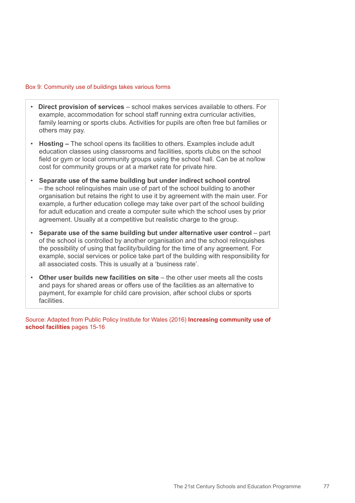#### Box 9: Community use of buildings takes various forms

- **Direct provision of services**  school makes services available to others. For example, accommodation for school staff running extra curricular activities, family learning or sports clubs. Activities for pupils are often free but families or others may pay.
- **Hosting** The school opens its facilities to others. Examples include adult education classes using classrooms and facilities, sports clubs on the school field or gym or local community groups using the school hall. Can be at no/low cost for community groups or at a market rate for private hire.
- **Separate use of the same building but under indirect school control** – the school relinquishes main use of part of the school building to another organisation but retains the right to use it by agreement with the main user. For example, a further education college may take over part of the school building for adult education and create a computer suite which the school uses by prior agreement. Usually at a competitive but realistic charge to the group.
- **Separate use of the same building but under alternative user control** part of the school is controlled by another organisation and the school relinquishes the possibility of using that facility/building for the time of any agreement. For example, social services or police take part of the building with responsibility for all associated costs. This is usually at a 'business rate'.
- **Other user builds new facilities on site** the other user meets all the costs and pays for shared areas or offers use of the facilities as an alternative to payment, for example for child care provision, after school clubs or sports **facilities**

Source: Adapted from Public Policy Institute for Wales (2016) **Increasing community use of school facilities** pages 15-16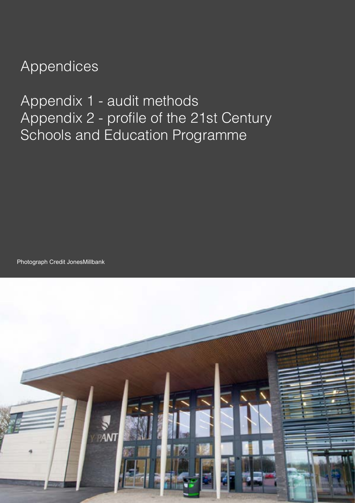## Appendices

Appendix 1 - audit methods Appendix 2 - profile of the 21st Century Schools and Education Programme

Photograph Credit JonesMillbank

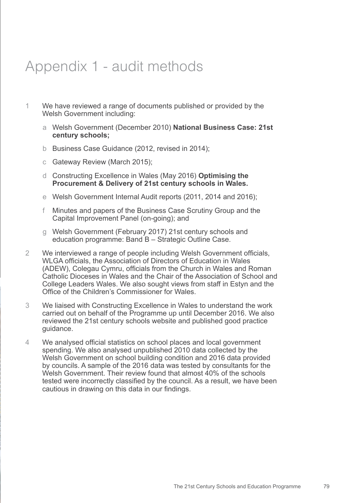## Appendix 1 - audit methods

- 1 We have reviewed a range of documents published or provided by the Welsh Government including:
	- a Welsh Government (December 2010) **National Business Case: 21st century schools;**
	- b Business Case Guidance (2012, revised in 2014);
	- c Gateway Review (March 2015);
	- d Constructing Excellence in Wales (May 2016) **Optimising the Procurement & Delivery of 21st century schools in Wales.**
	- e Welsh Government Internal Audit reports (2011, 2014 and 2016);
	- f Minutes and papers of the Business Case Scrutiny Group and the Capital Improvement Panel (on-going); and
	- g Welsh Government (February 2017) 21st century schools and education programme: Band B – Strategic Outline Case.
- 2 We interviewed a range of people including Welsh Government officials, WLGA officials, the Association of Directors of Education in Wales (ADEW), Colegau Cymru, officials from the Church in Wales and Roman Catholic Dioceses in Wales and the Chair of the Association of School and College Leaders Wales. We also sought views from staff in Estyn and the Office of the Children's Commissioner for Wales.
- 3 We liaised with Constructing Excellence in Wales to understand the work carried out on behalf of the Programme up until December 2016. We also reviewed the 21st century schools website and published good practice guidance.
- 4 We analysed official statistics on school places and local government spending. We also analysed unpublished 2010 data collected by the Welsh Government on school building condition and 2016 data provided by councils. A sample of the 2016 data was tested by consultants for the Welsh Government. Their review found that almost 40% of the schools tested were incorrectly classified by the council. As a result, we have been cautious in drawing on this data in our findings.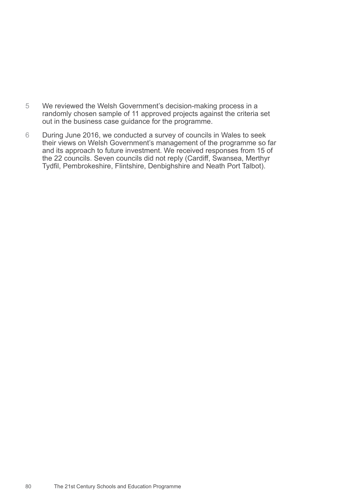- 5 We reviewed the Welsh Government's decision-making process in a randomly chosen sample of 11 approved projects against the criteria set out in the business case guidance for the programme.
- 6 During June 2016, we conducted a survey of councils in Wales to seek their views on Welsh Government's management of the programme so far and its approach to future investment. We received responses from 15 of the 22 councils. Seven councils did not reply (Cardiff, Swansea, Merthyr Tydfil, Pembrokeshire, Flintshire, Denbighshire and Neath Port Talbot).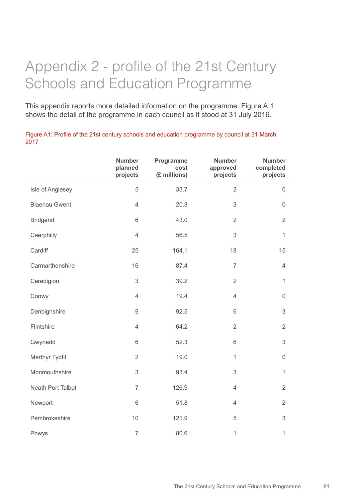# Appendix 2 - profile of the 21st Century Schools and Education Programme

This appendix reports more detailed information on the programme. Figure A.1 shows the detail of the programme in each council as it stood at 31 July 2016.

Figure A1: Profile of the 21st century schools and education programme by council at 31 March 2017

|                      | <b>Number</b><br>planned<br>projects | Programme<br>cost<br>(£ millions) | <b>Number</b><br>approved<br>projects | <b>Number</b><br>completed<br>projects |
|----------------------|--------------------------------------|-----------------------------------|---------------------------------------|----------------------------------------|
| Isle of Anglesey     | 5                                    | 33.7                              | $\overline{2}$                        | $\mathsf{O}\xspace$                    |
| <b>Blaenau Gwent</b> | $\overline{4}$                       | 20.3                              | 3                                     | $\mathsf 0$                            |
| <b>Bridgend</b>      | 6                                    | 43.0                              | $\overline{2}$                        | $\overline{2}$                         |
| Caerphilly           | $\overline{4}$                       | 56.5                              | 3                                     | $\mathbf{1}$                           |
| Cardiff              | 25                                   | 164.1                             | 18                                    | 15                                     |
| Carmarthenshire      | 16                                   | 87.4                              | $\overline{7}$                        | $\overline{4}$                         |
| Ceredigion           | 3                                    | 39.2                              | $\overline{2}$                        | $\mathbf{1}$                           |
| Conwy                | $\overline{4}$                       | 19.4                              | $\overline{4}$                        | 0                                      |
| Denbighshire         | $\hbox{9}$                           | 92.5                              | 6                                     | $\mathfrak{S}$                         |
| Flintshire           | $\overline{4}$                       | 64.2                              | $\overline{2}$                        | $\overline{2}$                         |
| Gwynedd              | 6                                    | 52.3                              | 6                                     | $\mathfrak{S}$                         |
| Merthyr Tydfil       | $\overline{2}$                       | 19.0                              | $\mathbf{1}$                          | $\mathsf{O}\xspace$                    |
| Monmouthshire        | 3                                    | 93.4                              | 3                                     | $\mathbf{1}$                           |
| Neath Port Talbot    | $\overline{7}$                       | 126.9                             | $\overline{4}$                        | $\overline{2}$                         |
| Newport              | $\,$ 6 $\,$                          | 51.8                              | $\overline{4}$                        | $\overline{2}$                         |
| Pembrokeshire        | 10                                   | 121.9                             | 5                                     | $\mathfrak{S}$                         |
| Powys                | $\overline{7}$                       | 80.6                              | $\mathbf{1}$                          | $\mathbf{1}$                           |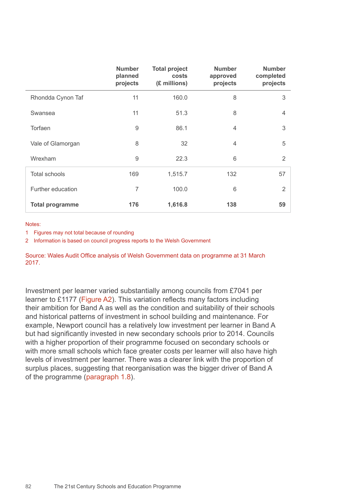|                        | <b>Number</b><br>planned<br>projects | <b>Total project</b><br>costs<br>(£ millions) | <b>Number</b><br>approved<br>projects | <b>Number</b><br>completed<br>projects |
|------------------------|--------------------------------------|-----------------------------------------------|---------------------------------------|----------------------------------------|
| Rhondda Cynon Taf      | 11                                   | 160.0                                         | 8                                     | 3                                      |
| Swansea                | 11                                   | 51.3                                          | 8                                     | $\overline{4}$                         |
| Torfaen                | $9$                                  | 86.1                                          | $\overline{4}$                        | 3                                      |
| Vale of Glamorgan      | 8                                    | 32                                            | $\overline{4}$                        | 5                                      |
| Wrexham                | $\overline{9}$                       | 22.3                                          | 6                                     | $\overline{2}$                         |
| <b>Total schools</b>   | 169                                  | 1,515.7                                       | 132                                   | 57                                     |
| Further education      | 7                                    | 100.0                                         | 6                                     | 2                                      |
| <b>Total programme</b> | 176                                  | 1,616.8                                       | 138                                   | 59                                     |

#### Notes:

1 Figures may not total because of rounding

2 Information is based on council progress reports to the Welsh Government

Source: Wales Audit Office analysis of Welsh Government data on programme at 31 March 2017.

Investment per learner varied substantially among councils from £7041 per learner to £1177 (Figure A2). This variation reflects many factors including their ambition for Band A as well as the condition and suitability of their schools and historical patterns of investment in school building and maintenance. For example, Newport council has a relatively low investment per learner in Band A but had significantly invested in new secondary schools prior to 2014. Councils with a higher proportion of their programme focused on secondary schools or with more small schools which face greater costs per learner will also have high levels of investment per learner. There was a clearer link with the proportion of surplus places, suggesting that reorganisation was the bigger driver of Band A of the programme (paragraph 1.8).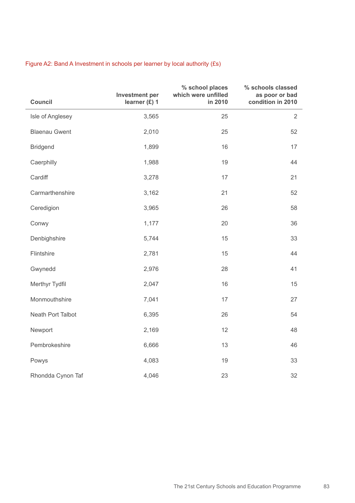| Council              | <b>Investment per</b><br>learner (£) 1 | % school places<br>which were unfilled<br>in 2010 | % schools classed<br>as poor or bad<br>condition in 2010 |
|----------------------|----------------------------------------|---------------------------------------------------|----------------------------------------------------------|
| Isle of Anglesey     | 3,565                                  | 25                                                | $\overline{2}$                                           |
| <b>Blaenau Gwent</b> | 2,010                                  | 25                                                | 52                                                       |
| <b>Bridgend</b>      | 1,899                                  | 16                                                | 17                                                       |
| Caerphilly           | 1,988                                  | 19                                                | 44                                                       |
| Cardiff              | 3,278                                  | 17                                                | 21                                                       |
| Carmarthenshire      | 3,162                                  | 21                                                | 52                                                       |
| Ceredigion           | 3,965                                  | 26                                                | 58                                                       |
| Conwy                | 1,177                                  | 20                                                | 36                                                       |
| Denbighshire         | 5,744                                  | 15                                                | 33                                                       |
| Flintshire           | 2,781                                  | 15                                                | 44                                                       |
| Gwynedd              | 2,976                                  | 28                                                | 41                                                       |
| Merthyr Tydfil       | 2,047                                  | 16                                                | 15                                                       |
| Monmouthshire        | 7,041                                  | 17                                                | 27                                                       |
| Neath Port Talbot    | 6,395                                  | 26                                                | 54                                                       |
| Newport              | 2,169                                  | 12                                                | 48                                                       |
| Pembrokeshire        | 6,666                                  | 13                                                | 46                                                       |
| Powys                | 4,083                                  | 19                                                | 33                                                       |
| Rhondda Cynon Taf    | 4,046                                  | 23                                                | 32                                                       |

### Figure A2: Band A Investment in schools per learner by local authority (£s)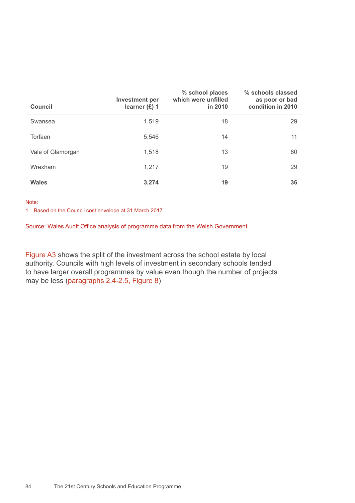| <b>Council</b>    | <b>Investment per</b><br>learner $(E)$ 1 | % school places<br>which were unfilled<br>in 2010 | % schools classed<br>as poor or bad<br>condition in 2010 |
|-------------------|------------------------------------------|---------------------------------------------------|----------------------------------------------------------|
| Swansea           | 1,519                                    | 18                                                | 29                                                       |
| Torfaen           | 5,546                                    | 14                                                | 11                                                       |
| Vale of Glamorgan | 1,518                                    | 13                                                | 60                                                       |
| Wrexham           | 1,217                                    | 19                                                | 29                                                       |
| <b>Wales</b>      | 3,274                                    | 19                                                | 36                                                       |

#### Note:

1 Based on the Council cost envelope at 31 March 2017

Source: Wales Audit Office analysis of programme data from the Welsh Government

Figure A3 shows the split of the investment across the school estate by local authority. Councils with high levels of investment in secondary schools tended to have larger overall programmes by value even though the number of projects may be less (paragraphs 2.4-2.5, Figure 8)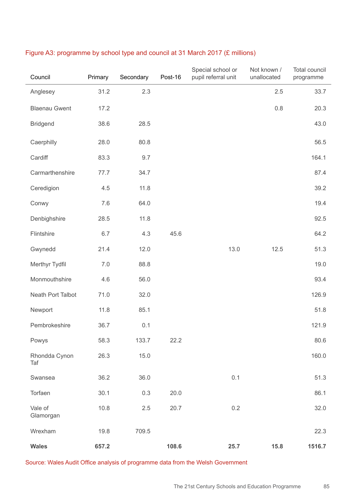| Council              | Primary | Secondary | Post-16 | Special school or<br>pupil referral unit | Not known /<br>unallocated | <b>Total council</b><br>programme |
|----------------------|---------|-----------|---------|------------------------------------------|----------------------------|-----------------------------------|
| Anglesey             | 31.2    | 2.3       |         |                                          | 2.5                        | 33.7                              |
| <b>Blaenau Gwent</b> | 17.2    |           |         |                                          | 0.8                        | 20.3                              |
| <b>Bridgend</b>      | 38.6    | 28.5      |         |                                          |                            | 43.0                              |
| Caerphilly           | 28.0    | 80.8      |         |                                          |                            | 56.5                              |
| Cardiff              | 83.3    | 9.7       |         |                                          |                            | 164.1                             |
| Carmarthenshire      | 77.7    | 34.7      |         |                                          |                            | 87.4                              |
| Ceredigion           | 4.5     | 11.8      |         |                                          |                            | 39.2                              |
| Conwy                | 7.6     | 64.0      |         |                                          |                            | 19.4                              |
| Denbighshire         | 28.5    | 11.8      |         |                                          |                            | 92.5                              |
| Flintshire           | 6.7     | 4.3       | 45.6    |                                          |                            | 64.2                              |
| Gwynedd              | 21.4    | 12.0      |         | 13.0                                     | 12.5                       | 51.3                              |
| Merthyr Tydfil       | 7.0     | 88.8      |         |                                          |                            | 19.0                              |
| Monmouthshire        | 4.6     | 56.0      |         |                                          |                            | 93.4                              |
| Neath Port Talbot    | 71.0    | 32.0      |         |                                          |                            | 126.9                             |
| Newport              | 11.8    | 85.1      |         |                                          |                            | 51.8                              |
| Pembrokeshire        | 36.7    | 0.1       |         |                                          |                            | 121.9                             |
| Powys                | 58.3    | 133.7     | 22.2    |                                          |                            | 80.6                              |
| Rhondda Cynon<br>Taf | 26.3    | 15.0      |         |                                          |                            | 160.0                             |
| Swansea              | 36.2    | 36.0      |         | 0.1                                      |                            | 51.3                              |
| Torfaen              | 30.1    | 0.3       | 20.0    |                                          |                            | 86.1                              |
| Vale of<br>Glamorgan | 10.8    | 2.5       | 20.7    | 0.2                                      |                            | 32.0                              |
| Wrexham              | 19.8    | 709.5     |         |                                          |                            | 22.3                              |
| <b>Wales</b>         | 657.2   |           | 108.6   | 25.7                                     | 15.8                       | 1516.7                            |

### Figure A3: programme by school type and council at 31 March 2017 (£ millions)

Source: Wales Audit Office analysis of programme data from the Welsh Government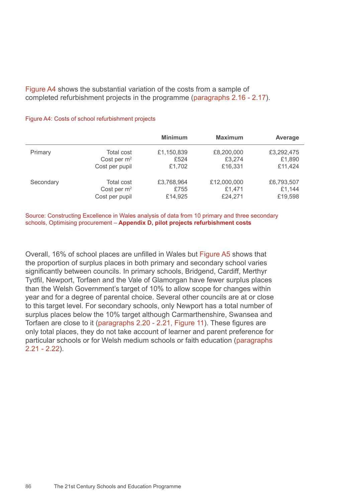Figure A4 shows the substantial variation of the costs from a sample of completed refurbishment projects in the programme (paragraphs 2.16 - 2.17).

#### Figure A4: Costs of school refurbishment projects

|           |                   | <b>Minimum</b> | <b>Maximum</b> | Average    |
|-----------|-------------------|----------------|----------------|------------|
| Primary   | <b>Total cost</b> | £1,150,839     | £8,200,000     | £3,292,475 |
|           | Cost per $m2$     | £524           | £3,274         | £1,890     |
|           | Cost per pupil    | £1,702         | £16,331        | £11,424    |
| Secondary | <b>Total cost</b> | £3,768,964     | £12,000,000    | £6,793,507 |
|           | Cost per $m2$     | £755           | £1,471         | £1,144     |
|           | Cost per pupil    | £14,925        | £24,271        | £19,598    |

Source: Constructing Excellence in Wales analysis of data from 10 primary and three secondary schools, Optimising procurement – **Appendix D, pilot projects refurbishment costs** 

Overall, 16% of school places are unfilled in Wales but Figure A5 shows that the proportion of surplus places in both primary and secondary school varies significantly between councils. In primary schools, Bridgend, Cardiff, Merthyr Tydfil, Newport, Torfaen and the Vale of Glamorgan have fewer surplus places than the Welsh Government's target of 10% to allow scope for changes within year and for a degree of parental choice. Several other councils are at or close to this target level. For secondary schools, only Newport has a total number of surplus places below the 10% target although Carmarthenshire, Swansea and Torfaen are close to it (paragraphs 2.20 - 2.21, Figure 11). These figures are only total places, they do not take account of learner and parent preference for particular schools or for Welsh medium schools or faith education (paragraphs  $2.21 - 2.22$ ).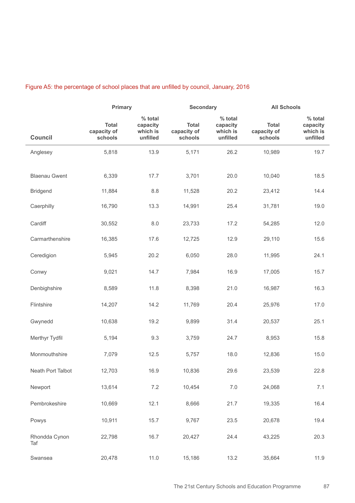## Figure A5: the percentage of school places that are unfilled by council, January, 2016

|                      | Primary                                |                                             | <b>Secondary</b>                       |                                             | <b>All Schools</b>                     |                                             |
|----------------------|----------------------------------------|---------------------------------------------|----------------------------------------|---------------------------------------------|----------------------------------------|---------------------------------------------|
| <b>Council</b>       | <b>Total</b><br>capacity of<br>schools | % total<br>capacity<br>which is<br>unfilled | <b>Total</b><br>capacity of<br>schools | % total<br>capacity<br>which is<br>unfilled | <b>Total</b><br>capacity of<br>schools | % total<br>capacity<br>which is<br>unfilled |
| Anglesey             | 5,818                                  | 13.9                                        | 5,171                                  | 26.2                                        | 10,989                                 | 19.7                                        |
| <b>Blaenau Gwent</b> | 6,339                                  | 17.7                                        | 3,701                                  | 20.0                                        | 10,040                                 | 18.5                                        |
| <b>Bridgend</b>      | 11,884                                 | 8.8                                         | 11,528                                 | 20.2                                        | 23,412                                 | 14.4                                        |
| Caerphilly           | 16,790                                 | 13.3                                        | 14,991                                 | 25.4                                        | 31,781                                 | 19.0                                        |
| Cardiff              | 30,552                                 | 8.0                                         | 23,733                                 | 17.2                                        | 54,285                                 | 12.0                                        |
| Carmarthenshire      | 16,385                                 | 17.6                                        | 12,725                                 | 12.9                                        | 29,110                                 | 15.6                                        |
| Ceredigion           | 5,945                                  | 20.2                                        | 6,050                                  | 28.0                                        | 11,995                                 | 24.1                                        |
| Conwy                | 9,021                                  | 14.7                                        | 7,984                                  | 16.9                                        | 17,005                                 | 15.7                                        |
| Denbighshire         | 8,589                                  | 11.8                                        | 8,398                                  | 21.0                                        | 16,987                                 | 16.3                                        |
| Flintshire           | 14,207                                 | 14.2                                        | 11,769                                 | 20.4                                        | 25,976                                 | 17.0                                        |
| Gwynedd              | 10,638                                 | 19.2                                        | 9,899                                  | 31.4                                        | 20,537                                 | 25.1                                        |
| Merthyr Tydfil       | 5,194                                  | 9.3                                         | 3,759                                  | 24.7                                        | 8,953                                  | 15.8                                        |
| Monmouthshire        | 7,079                                  | 12.5                                        | 5,757                                  | 18.0                                        | 12,836                                 | 15.0                                        |
| Neath Port Talbot    | 12,703                                 | 16.9                                        | 10,836                                 | 29.6                                        | 23,539                                 | 22.8                                        |
| Newport              | 13,614                                 | $7.2\,$                                     | 10,454                                 | $7.0$                                       | 24,068                                 | 7.1                                         |
| Pembrokeshire        | 10,669                                 | 12.1                                        | 8,666                                  | 21.7                                        | 19,335                                 | 16.4                                        |
| Powys                | 10,911                                 | 15.7                                        | 9,767                                  | 23.5                                        | 20,678                                 | 19.4                                        |
| Rhondda Cynon<br>Taf | 22,798                                 | 16.7                                        | 20,427                                 | 24.4                                        | 43,225                                 | 20.3                                        |
| Swansea              | 20,478                                 | 11.0                                        | 15,186                                 | 13.2                                        | 35,664                                 | 11.9                                        |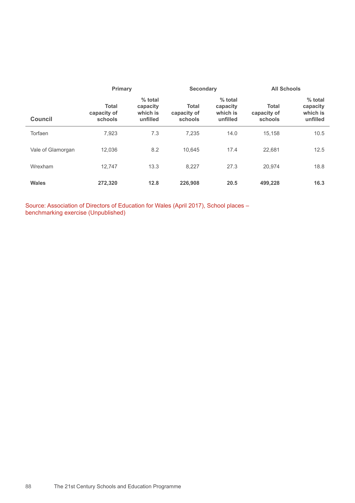|                   | Primary                                |                                               | <b>Secondary</b>                       |                                             | <b>All Schools</b>                     |                                             |
|-------------------|----------------------------------------|-----------------------------------------------|----------------------------------------|---------------------------------------------|----------------------------------------|---------------------------------------------|
| <b>Council</b>    | <b>Total</b><br>capacity of<br>schools | $%$ total<br>capacity<br>which is<br>unfilled | <b>Total</b><br>capacity of<br>schools | % total<br>capacity<br>which is<br>unfilled | <b>Total</b><br>capacity of<br>schools | % total<br>capacity<br>which is<br>unfilled |
| Torfaen           | 7.923                                  | 7.3                                           | 7.235                                  | 14.0                                        | 15.158                                 | 10.5                                        |
| Vale of Glamorgan | 12.036                                 | 8.2                                           | 10.645                                 | 17.4                                        | 22.681                                 | 12.5                                        |
| Wrexham           | 12.747                                 | 13.3                                          | 8.227                                  | 27.3                                        | 20.974                                 | 18.8                                        |
| <b>Wales</b>      | 272,320                                | 12.8                                          | 226,908                                | 20.5                                        | 499,228                                | 16.3                                        |

Source: Association of Directors of Education for Wales (April 2017), School places – benchmarking exercise (Unpublished)